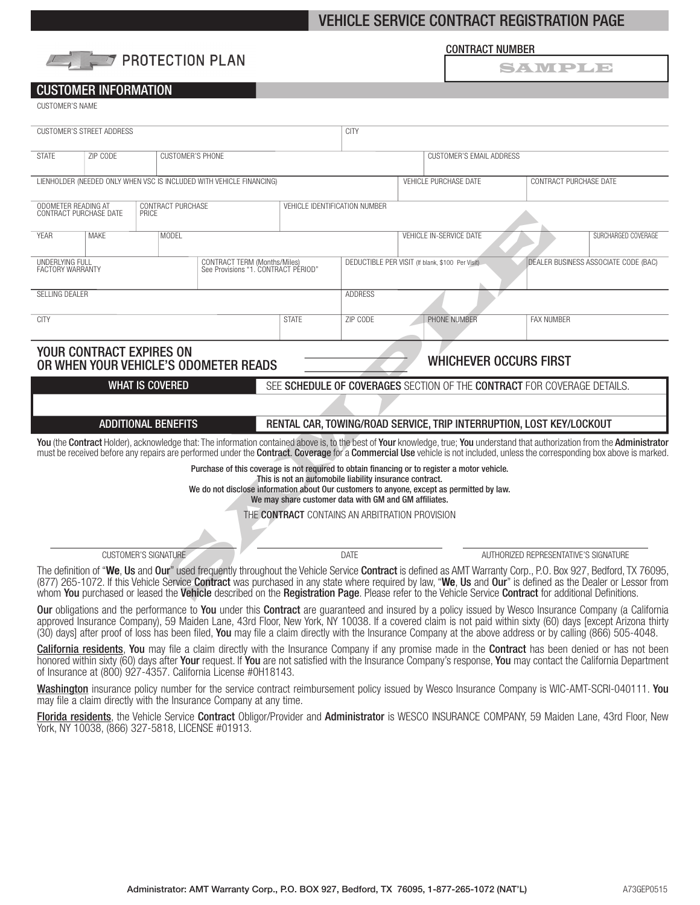# VEHICLE SERVICE CONTRACT REGISTRATION PAGE



#### CONTRACT NUMBER

SAWPDD

## CUSTOMER INFORMATION

CUSTOMER'S NAME

| <b>CUSTOMER'S STREET ADDRESS</b>                                                                                                                                                                                                                                                                                                                                                                                                                                                                                                                                                                                                                                                                                                                              |             |                                                                      |                                                                     | <b>CITY</b>                   |                                                       |                       |                                                                                                                                                                                                                                                        |                                       |  |
|---------------------------------------------------------------------------------------------------------------------------------------------------------------------------------------------------------------------------------------------------------------------------------------------------------------------------------------------------------------------------------------------------------------------------------------------------------------------------------------------------------------------------------------------------------------------------------------------------------------------------------------------------------------------------------------------------------------------------------------------------------------|-------------|----------------------------------------------------------------------|---------------------------------------------------------------------|-------------------------------|-------------------------------------------------------|-----------------------|--------------------------------------------------------------------------------------------------------------------------------------------------------------------------------------------------------------------------------------------------------|---------------------------------------|--|
| <b>STATF</b>                                                                                                                                                                                                                                                                                                                                                                                                                                                                                                                                                                                                                                                                                                                                                  | ZIP CODE    | <b>CUSTOMER'S PHONE</b>                                              |                                                                     |                               | <b>CUSTOMER'S EMAIL ADDRESS</b>                       |                       |                                                                                                                                                                                                                                                        |                                       |  |
|                                                                                                                                                                                                                                                                                                                                                                                                                                                                                                                                                                                                                                                                                                                                                               |             | LIENHOLDER (NEEDED ONLY WHEN VSC IS INCLUDED WITH VEHICLE FINANCING) |                                                                     |                               |                                                       | VEHICLE PURCHASE DATE | CONTRACT PURCHASE DATE                                                                                                                                                                                                                                 |                                       |  |
| ODOMETER READING AT<br>CONTRACT PURCHASE DATE<br>CONTRACT PURCHASE<br>PRICE                                                                                                                                                                                                                                                                                                                                                                                                                                                                                                                                                                                                                                                                                   |             |                                                                      |                                                                     | VEHICLE IDENTIFICATION NUMBER |                                                       |                       |                                                                                                                                                                                                                                                        |                                       |  |
| <b>YFAR</b>                                                                                                                                                                                                                                                                                                                                                                                                                                                                                                                                                                                                                                                                                                                                                   | <b>MAKE</b> | <b>MODEL</b>                                                         |                                                                     |                               | <b>VEHICLE IN-SERVICE DATE</b><br>SURCHARGED COVERAGE |                       |                                                                                                                                                                                                                                                        |                                       |  |
| UNDERLYING FULL<br><b>FACTORY WARRANTY</b>                                                                                                                                                                                                                                                                                                                                                                                                                                                                                                                                                                                                                                                                                                                    |             |                                                                      | CONTRACT TERM (Months/Miles)<br>See Provisions "1. CONTRACT PÉRIOD" |                               | DEDUCTIBLE PER VISIT (If blank, \$100 Per Visit)      |                       | DEALER BUSINESS ASSOCIATE CODE (BAC)                                                                                                                                                                                                                   |                                       |  |
| SELLING DEALER                                                                                                                                                                                                                                                                                                                                                                                                                                                                                                                                                                                                                                                                                                                                                |             |                                                                      |                                                                     |                               | <b>ADDRESS</b>                                        |                       |                                                                                                                                                                                                                                                        |                                       |  |
| <b>CITY</b>                                                                                                                                                                                                                                                                                                                                                                                                                                                                                                                                                                                                                                                                                                                                                   |             |                                                                      |                                                                     | <b>STATE</b>                  | ZIP CODE                                              |                       | PHONE NUMBER                                                                                                                                                                                                                                           | <b>FAX NUMBER</b>                     |  |
| <b>YOUR CONTRACT EXPIRES ON</b><br><b>WHICHEVER OCCURS FIRST</b><br>OR WHEN YOUR VEHICLE'S ODOMETER READS                                                                                                                                                                                                                                                                                                                                                                                                                                                                                                                                                                                                                                                     |             |                                                                      |                                                                     |                               |                                                       |                       |                                                                                                                                                                                                                                                        |                                       |  |
| <b>WHAT IS COVERED</b><br>SEE SCHEDULE OF COVERAGES SECTION OF THE CONTRACT FOR COVERAGE DETAILS.                                                                                                                                                                                                                                                                                                                                                                                                                                                                                                                                                                                                                                                             |             |                                                                      |                                                                     |                               |                                                       |                       |                                                                                                                                                                                                                                                        |                                       |  |
|                                                                                                                                                                                                                                                                                                                                                                                                                                                                                                                                                                                                                                                                                                                                                               |             |                                                                      |                                                                     |                               |                                                       |                       |                                                                                                                                                                                                                                                        |                                       |  |
|                                                                                                                                                                                                                                                                                                                                                                                                                                                                                                                                                                                                                                                                                                                                                               |             | <b>ADDITIONAL BENEFITS</b>                                           |                                                                     |                               |                                                       |                       | RENTAL CAR, TOWING/ROAD SERVICE, TRIP INTERRUPTION, LOST KEY/LOCKOUT<br>You (the Contract Holder), acknowledge that: The information contained above is, to the best of Your knowledge, true; You understand that authorization from the Administrator |                                       |  |
|                                                                                                                                                                                                                                                                                                                                                                                                                                                                                                                                                                                                                                                                                                                                                               |             |                                                                      |                                                                     |                               |                                                       |                       | must be received before any repairs are performed under the <b>Contract. Coverage</b> for a <b>Commercial Use</b> vehicle is not included, unless the corresponding box above is marked.                                                               |                                       |  |
| Purchase of this coverage is not required to obtain financing or to register a motor vehicle.<br>This is not an automobile liability insurance contract.<br>We do not disclose information about Our customers to anyone, except as permitted by law.<br>We may share customer data with GM and GM affiliates.                                                                                                                                                                                                                                                                                                                                                                                                                                                |             |                                                                      |                                                                     |                               |                                                       |                       |                                                                                                                                                                                                                                                        |                                       |  |
| THE CONTRACT CONTAINS AN ARBITRATION PROVISION                                                                                                                                                                                                                                                                                                                                                                                                                                                                                                                                                                                                                                                                                                                |             |                                                                      |                                                                     |                               |                                                       |                       |                                                                                                                                                                                                                                                        |                                       |  |
|                                                                                                                                                                                                                                                                                                                                                                                                                                                                                                                                                                                                                                                                                                                                                               |             | <b>CUSTOMER'S SIGNATURE</b>                                          |                                                                     |                               | DATE                                                  |                       |                                                                                                                                                                                                                                                        | AUTHORIZED REPRESENTATIVE'S SIGNATURE |  |
| The definition of "We, Us and Our" used frequently throughout the Vehicle Service Contract is defined as AMT Warranty Corp., P.O. Box 927, Bedford, TX 76095,<br>(877) 265-1072. If this Vehicle Service Contract was purchased in any state where required by law, "We, Us and Our" is defined as the Dealer or Lessor from<br>whom You purchased or leased the Vehicle described on the Registration Page. Please refer to the Vehicle Service Contract for additional Definitions.<br>The second control of the second control of the second control of the second control of the second control of the second control of the second control of the second control of the second control of the second control of th<br>$\sim$ $\sim$ $\sim$ $\sim$ $\sim$ |             |                                                                      |                                                                     |                               |                                                       |                       |                                                                                                                                                                                                                                                        |                                       |  |

Our obligations and the performance to You under this Contract are guaranteed and insured by a policy issued by Wesco Insurance Company (a California approved Insurance Company), 59 Maiden Lane, 43rd Floor, New York, NY 10038. If a covered claim is not paid within sixty (60) days [except Arizona thirty (30) days] after proof of loss has been filed, You may file a claim directly with the Insurance Company at the above address or by calling (866) 505-4048.

California residents, You may file a claim directly with the Insurance Company if any promise made in the Contract has been denied or has not been honored within sixty (60) days after Your request. If You are not satisfied with the Insurance Company's response, You may contact the California Department of Insurance at (800) 927-4357. California License #0H18143.

Washington insurance policy number for the service contract reimbursement policy issued by Wesco Insurance Company is WIC-AMT-SCRI-040111. You may file a claim directly with the Insurance Company at any time.

Florida residents, the Vehicle Service Contract Obligor/Provider and Administrator is WESCO INSURANCE COMPANY, 59 Maiden Lane, 43rd Floor, New York, NY 10038, (866) 327-5818, LICENSE #01913.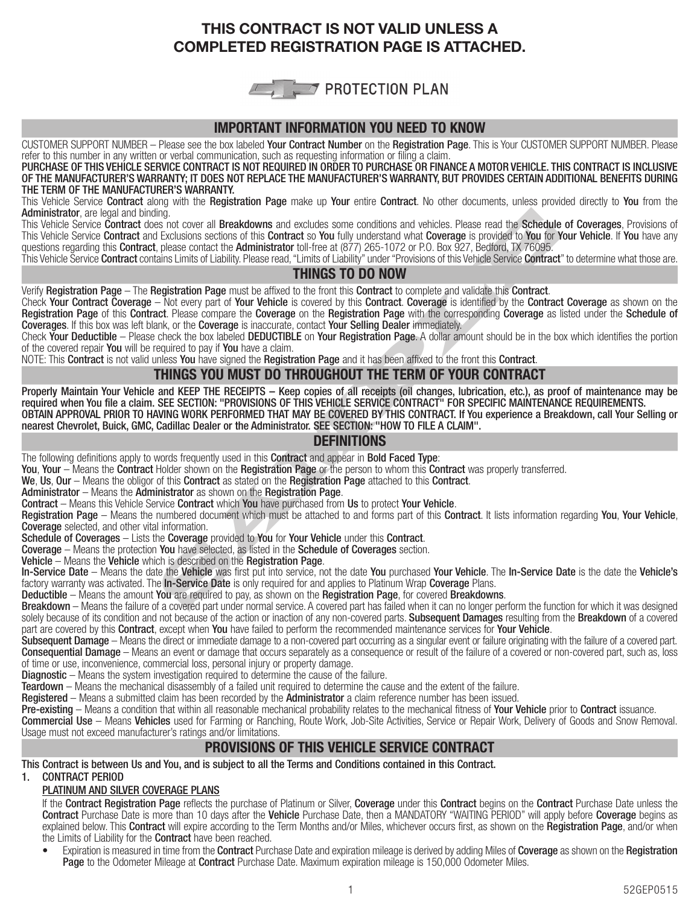# THIS CONTRACT IS NOT VALID UNLESS A COMPLETED REGISTRATION PAGE IS ATTACHED.



## IMPORTANT INFORMATION YOU NEED TO KNOW

CUSTOMER SUPPORT NUMBER - Please see the box labeled Your Contract Number on the Registration Page. This is Your CUSTOMER SUPPORT NUMBER. Please refer to this number in any written or verbal communication, such as requesting information or filing a claim.

PURCHASE OF THIS VEHICLE SERVICE CONTRACT IS NOT REQUIRED IN ORDER TO PURCHASE OR FINANCE A MOTOR VEHICLE. THIS CONTRACT IS INCLUSIVE OF THE MANUFACTURER'S WARRANTY; IT DOES NOT REPLACE THE MANUFACTURER'S WARRANTY, BUT PROVIDES CERTAIN ADDITIONAL BENEFITS DURING THE TERM OF THE MANUFACTURER'S WARRANTY.

This Vehicle Service Contract along with the Registration Page make up Your entire Contract. No other documents, unless provided directly to You from the Administrator, are legal and binding.

This Vehicle Service Contract does not cover all Breakdowns and excludes some conditions and vehicles. Please read the Schedule of Coverages, Provisions of This Vehicle Service Contract and Exclusions sections of this Contract so You fully understand what Coverage is provided to You for Your Vehicle. If You have any questions regarding this Contract, please contact the Administrator toll-free at (877) 265-1072 or P.O. Box 927, Bedford, TX 76095.

This Vehicle Service Contract contains Limits of Liability. Please read, "Limits of Liability" under "Provisions of this Vehicle Service Contract" to determine what those are.

## THINGS TO DO NOW

Verify Registration Page – The Registration Page must be affixed to the front this Contract to complete and validate this Contract.

Check Your Contract Coverage – Not every part of Your Vehicle is covered by this Contract. Coverage is identified by the Contract Coverage as shown on the Registration Page of this Contract. Please compare the Coverage on the Registration Page with the corresponding Coverage as listed under the Schedule of Coverages. If this box was left blank, or the Coverage is inaccurate, contact Your Selling Dealer immediately.

Check Your Deductible – Please check the box labeled DEDUCTIBLE on Your Registration Page. A dollar amount should be in the box which identifies the portion of the covered repair You will be required to pay if You have a claim.

NOTE: This Contract is not valid unless You have signed the Registration Page and it has been affixed to the front this Contract.

## THINGS YOU MUST DO THROUGHOUT THE TERM OF YOUR CONTRACT

ling.<br>So not cover all **Breakdowns** and excludes some conditions and vehicles. Please read the Schedule<br>I Exclusions sections of this Contract so You fully understand what Covreage is provided to You for No.<br>I, please cont Properly Maintain Your Vehicle and KEEP THE RECEIPTS – Keep copies of all receipts (oil changes, lubrication, etc.), as proof of maintenance may be required when You file a claim. SEE SECTION: "PROVISIONS OF THIS VEHICLE SERVICE CONTRACT" FOR SPECIFIC MAINTENANCE REQUIREMENTS. OBTAIN APPROVAL PRIOR TO HAVING WORK PERFORMED THAT MAY BE COVERED BY THIS CONTRACT. If You experience a Breakdown, call Your Selling or nearest Chevrolet, Buick, GMC, Cadillac Dealer or the Administrator. SEE SECTION: "HOW TO FILE A CLAIM".

## **DEFINITIONS**

The following definitions apply to words frequently used in this **Contract** and appear in **Bold Faced Type**:

You, Your – Means the Contract Holder shown on the Registration Page or the person to whom this Contract was properly transferred.

We, Us, Our – Means the obligor of this Contract as stated on the Registration Page attached to this Contract.

Administrator – Means the Administrator as shown on the Registration Page.

Contract – Means this Vehicle Service Contract which You have purchased from Us to protect Your Vehicle.

Registration Page – Means the numbered document which must be attached to and forms part of this Contract. It lists information regarding You, Your Vehicle, Coverage selected, and other vital information.<br>Schedule of Coverages – Lists the Coverage provided to You for Your Vehicle under this Contract.

**Coverage** – Means the protection **You** have selected, as listed in the **Schedule of Coverages** section. **Vehicle** – Means the **Vehicle** which is described on the **Registration Page**.

In-Service Date - Means the date the Vehicle was first put into service, not the date You purchased Your Vehicle. The In-Service Date is the date the Vehicle's factory warranty was activated. The In-Service Date is only required for and applies to Platinum Wrap Coverage Plans.<br>Deductible – Means the amount You are required to pay, as shown on the Registration Page, for covered Br

Breakdown - Means the failure of a covered part under normal service. A covered part has failed when it can no longer perform the function for which it was designed solely because of its condition and not because of the action or inaction of any non-covered parts. Subsequent Damages resulting from the Breakdown of a covered part are covered by this Contract, except when You have failed to perform the recommended maintenance services for Your Vehicle.

Subsequent Damage – Means the direct or immediate damage to a non-covered part occurring as a singular event or failure originating with the failure of a covered part. Consequential Damage – Means an event or damage that occurs separately as a consequence or result of the failure of a covered or non-covered part, such as, loss of time or use, inconvenience, commercial loss, personal injury or property damage.

Diagnostic – Means the system investigation required to determine the cause of the failure.

Teardown – Means the mechanical disassembly of a failed unit required to determine the cause and the extent of the failure.

Registered – Means a submitted claim has been recorded by the Administrator a claim reference number has been issued.

Pre-existing – Means a condition that within all reasonable mechanical probability relates to the mechanical fitness of Your Vehicle prior to Contract issuance.

Commercial Use – Means Vehicles used for Farming or Ranching, Route Work, Job-Site Activities, Service or Repair Work, Delivery of Goods and Snow Removal. Usage must not exceed manufacturer's ratings and/or limitations.

# PROVISIONS OF THIS VEHICLE SERVICE CONTRACT

This Contract is between Us and You, and is subject to all the Terms and Conditions contained in this Contract.

1. CONTRACT PERIOD

PLATINUM AND SILVER COVERAGE PLANS

If the Contract Registration Page reflects the purchase of Platinum or Silver, Coverage under this Contract begins on the Contract Purchase Date unless the Contract Purchase Date is more than 10 days after the Vehicle Purchase Date, then a MANDATORY "WAITING PERIOD" will apply before Coverage begins as explained below. This Contract will expire according to the Term Months and/or Miles, whichever occurs first, as shown on the Registration Page, and/or when the Limits of Liability for the **Contract** have been reached.

Expiration is measured in time from the **Contract** Purchase Date and expiration mileage is derived by adding Miles of Coverage as shown on the Registration Page to the Odometer Mileage at Contract Purchase Date. Maximum expiration mileage is 150,000 Odometer Miles.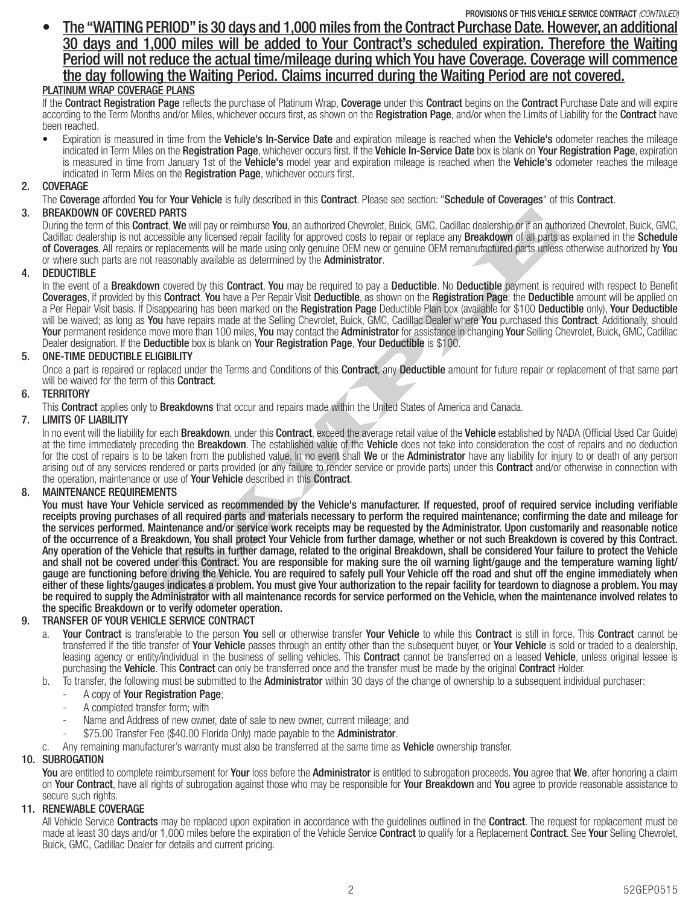PROVISIONS OF THIS VEHICLE SERVICE CONTRACT (CONTINUED)

t The "WAITING PERIOD" is 30 days and 1,000 miles from the Contract Purchase Date. However, an additional 30 days and 1,000 miles will be added to Your Contract's scheduled expiration. Therefore the Waiting Period will not reduce the actual time/mileage during which You have Coverage. Coverage will commence the day following the Waiting Period. Claims incurred during the Waiting Period are not covered.

## PLATINUM WRAP COVERAGE PLANS

If the Contract Registration Page reflects the purchase of Platinum Wrap, Coverage under this Contract begins on the Contract Purchase Date and will expire according to the Term Months and/or Miles, whichever occurs first, as shown on the Registration Page, and/or when the Limits of Liability for the Contract have been reached.

Expiration is measured in time from the Vehicle's In-Service Date and expiration mileage is reached when the Vehicle's odometer reaches the mileage indicated in Term Miles on the Registration Page, whichever occurs first. If the Vehicle In-Service Date box is blank on Your Registration Page, expiration is measured in time from January 1st of the Vehicle's model year and expiration mileage is reached when the Vehicle's odometer reaches the mileage indicated in Term Miles on the Registration Page, whichever occurs first.

## 2. COVERAGE

The Coverage afforded You for Your Vehicle is fully described in this Contract. Please see section: "Schedule of Coverages" of this Contract.

## 3. BREAKDOWN OF COVERED PARTS

During the term of this Contract, We will pay or reimburse You, an authorized Chevrolet, Buick, GMC, Cadillac dealership or if an authorized Chevrolet, Buick, GMC, Cadillac dealership is not accessible any licensed repair facility for approved costs to repair or replace any **Breakdown** of all parts as explained in the **Schedule** of Coverages. All repairs or replacements will be made using only genuine OEM new or genuine OEM remanufactured parts unless otherwise authorized by You or where such parts are not reasonably available as determined by the **Administrator**.

## 4. DEDUCTIBLE

In the event of a **Breakdown** covered by this **Contract, You** may be required to pay a **Deductible.** No Deductible payment is required with respect to Benefit Coverages, if provided by this Contract. You have a Per Repair Visit Deductible, as shown on the Registration Page; the Deductible amount will be applied on a Per Repair Visit basis. If Disappearing has been marked on the Registration Page Deductible Plan box (available for \$100 Deductible only), Your Deductible will be waived; as long as You have repairs made at the Selling Chevrolet, Buick, GMC, Cadillac Dealer where You purchased this Contract. Additionally, should Your permanent residence move more than 100 miles, You may contact the Administrator for assistance in changing Your Selling Chevrolet, Buick, GMC, Cadillac Dealer designation. If the Deductible box is blank on Your Registration Page, Your Deductible is \$100.

## 5. ONE-TIME DEDUCTIBLE ELIGIBILITY

Once a part is repaired or replaced under the Terms and Conditions of this Contract, any Deductible amount for future repair or replacement of that same part will be waived for the term of this **Contract**.

## 6. TERRITORY

This **Contract** applies only to **Breakdowns** that occur and repairs made within the United States of America and Canada.

## 7. LIMITS OF LIABILITY

In no event will the liability for each Breakdown, under this Contract, exceed the average retail value of the Vehicle established by NADA (Official Used Car Guide) at the time immediately preceding the **Breakdown**. The established value of the **Vehicle** does not take into consideration the cost of repairs and no deduction for the cost of repairs is to be taken from the published value. In no event shall We or the Administrator have any liability for injury to or death of any person arising out of any services rendered or parts provided (or any failure to render service or provide parts) under this **Contract** and/or otherwise in connection with the operation, maintenance or use of Your Vehicle described in this Contract.

## 8. MAINTENANCE REQUIREMENTS

**PARTS**<br>**PARTS**<br>**PARTS**<br>**PARTS**<br>**CALC**<br>**RABY** (We will pay or reimburse You, an authorized Chevrolet, Buick, GMC, Cadillac dealership or if an authorised<br>cessible any licensed repair facility for approved costs to repair o You must have Your Vehicle serviced as recommended by the Vehicle's manufacturer. If requested, proof of required service including verifiable receipts proving purchases of all required parts and materials necessary to perform the required maintenance; confirming the date and mileage for the services performed. Maintenance and/or service work receipts may be requested by the Administrator. Upon customarily and reasonable notice of the occurrence of a Breakdown, You shall protect Your Vehicle from further damage, whether or not such Breakdown is covered by this Contract. Any operation of the Vehicle that results in further damage, related to the original Breakdown, shall be considered Your failure to protect the Vehicle and shall not be covered under this Contract. You are responsible for making sure the oil warning light/gauge and the temperature warning light/ gauge are functioning before driving the Vehicle. You are required to safely pull Your Vehicle off the road and shut off the engine immediately when either of these lights/gauges indicates a problem. You must give Your authorization to the repair facility for teardown to diagnose a problem. You may be required to supply the Administrator with all maintenance records for service performed on the Vehicle, when the maintenance involved relates to the specific Breakdown or to verify odometer operation.

## 9. TRANSFER OF YOUR VEHICLE SERVICE CONTRACT

- a. Your Contract is transferable to the person You sell or otherwise transfer Your Vehicle to while this Contract is still in force. This Contract cannot be transferred if the title transfer of Your Vehicle passes through an entity other than the subsequent buyer, or Your Vehicle is sold or traded to a dealership, leasing agency or entity/individual in the business of selling vehicles. This **Contract** cannot be transferred on a leased **Vehicle**, unless original lessee is purchasing the Vehicle. This Contract can only be transferred once and the transfer must be made by the original Contract Holder.
- b. To transfer, the following must be submitted to the **Administrator** within 30 days of the change of ownership to a subsequent individual purchaser:
	- A copy of Your Registration Page;
	- A completed transfer form; with
	- Name and Address of new owner, date of sale to new owner, current mileage; and
	- \$75.00 Transfer Fee (\$40.00 Florida Only) made payable to the Administrator.
	- Any remaining manufacturer's warranty must also be transferred at the same time as Vehicle ownership transfer.

## 10. SUBROGATION

You are entitled to complete reimbursement for Your loss before the Administrator is entitled to subrogation proceeds. You agree that We, after honoring a claim on Your Contract, have all rights of subrogation against those who may be responsible for Your Breakdown and You agree to provide reasonable assistance to secure such rights.

## 11. RENEWABLE COVERAGE

All Vehicle Service Contracts may be replaced upon expiration in accordance with the guidelines outlined in the Contract. The request for replacement must be made at least 30 days and/or 1,000 miles before the expiration of the Vehicle Service Contract to qualify for a Replacement Contract. See Your Selling Chevrolet, Buick, GMC, Cadillac Dealer for details and current pricing.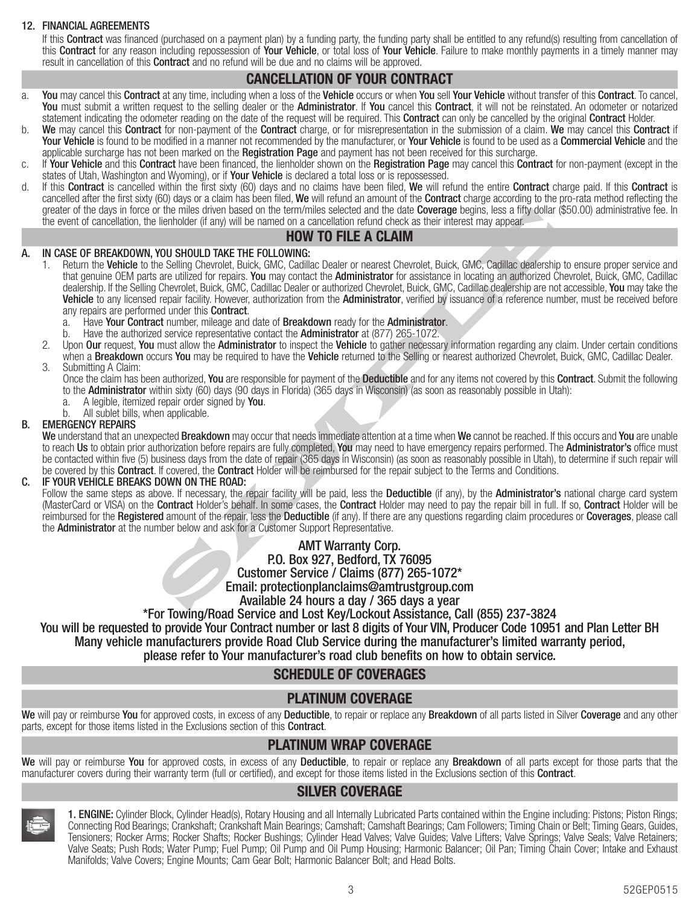## 12. FINANCIAL AGREEMENTS

If this **Contract** was financed (purchased on a payment plan) by a funding party, the funding party shall be entitled to any refund(s) resulting from cancellation of this Contract for any reason including repossession of Your Vehicle, or total loss of Your Vehicle. Failure to make monthly payments in a timely manner may result in cancellation of this **Contract** and no refund will be due and no claims will be approved.

# CANCELLATION OF YOUR CONTRACT

- a. You may cancel this Contract at any time, including when a loss of the Vehicle occurs or when You sell Your Vehicle without transfer of this Contract. To cancel, You must submit a written request to the selling dealer or the Administrator. If You cancel this Contract, it will not be reinstated. An odometer or notarized statement indicating the odometer reading on the date of the request will be required. This Contract can only be cancelled by the original Contract Holder.
- b. We may cancel this Contract for non-payment of the Contract charge, or for misrepresentation in the submission of a claim. We may cancel this Contract if Your Vehicle is found to be modified in a manner not recommended by the manufacturer, or Your Vehicle is found to be used as a Commercial Vehicle and the applicable surcharge has not been marked on the Registration Page and payment has not been received for this surcharge.
- c. If Your Vehicle and this Contract have been financed, the lienholder shown on the Registration Page may cancel this Contract for non-payment (except in the states of Utah, Washington and Wyoming), or if Your Vehicle is declared a total loss or is repossessed.
- d. If this **Contract** is cancelled within the first sixty (60) days and no claims have been filed, We will refund the entire **Contract** charge paid. If this **Contract** is cancelled after the first sixty (60) days or a claim has been filed, We will refund an amount of the **Contract** charge according to the pro-rata method reflecting the greater of the days in force or the miles driven based on the term/miles selected and the date Coverage begins, less a fifty dollar (\$50.00) administrative fee. In the event of cancellation, the lienholder (if any) will be named on a cancellation refund check as their interest may appear.

## HOW TO FILE A CLAIM

## A. IN CASE OF BREAKDOWN, YOU SHOULD TAKE THE FOLLOWING:

- If the miles driven based on the term/miles selected and the date Cowerage begins, less a titly dollar (the miles driven based on the date of particle and the date Cowerage begins, as a titly dollar (the DEN of MC) CHAR L 1. Return the Vehicle to the Selling Chevrolet, Buick, GMC, Cadillac Dealer or nearest Chevrolet, Buick, GMC, Cadillac dealership to ensure proper service and that genuine OEM parts are utilized for repairs. You may contact the Administrator for assistance in locating an authorized Chevrolet, Buick, GMC, Cadillac dealership. If the Selling Chevrolet, Buick, GMC, Cadillac Dealer or authorized Chevrolet, Buick, GMC, Cadillac dealership are not accessible, You may take the Vehicle to any licensed repair facility. However, authorization from the Administrator, verified by issuance of a reference number, must be received before any repairs are performed under this **Contract**.
	- a. Have Your Contract number, mileage and date of Breakdown ready for the Administrator.
	- Have the authorized service representative contact the **Administrator** at (877) 265-1072.
- 2. Upon Our request, You must allow the Administrator to inspect the Vehicle to gather necessary information regarding any claim. Under certain conditions when a **Breakdown** occurs You may be required to have the Vehicle returned to the Selling or nearest authorized Chevrolet, Buick, GMC, Cadillac Dealer.

3. Submitting A Claim:

Once the claim has been authorized, You are responsible for payment of the Deductible and for any items not covered by this Contract. Submit the following to the **Administrator** within sixty (60) days (90 days in Florida) (365 days in Wisconsin) (as soon as reasonably possible in Utah):

- a. A legible, itemized repair order signed by You.
- b. All sublet bills, when applicable.

## B. EMERGENCY REPAIRS

We understand that an unexpected Breakdown may occur that needs immediate attention at a time when We cannot be reached. If this occurs and You are unable to reach Us to obtain prior authorization before repairs are fully completed, You may need to have emergency repairs performed. The Administrator's office must be contacted within five (5) business days from the date of repair (365 days in Wisconsin) (as soon as reasonably possible in Utah), to determine if such repair will be covered by this **Contract**. If covered, the **Contract** Holder will be reimbursed for the repair subject to the Terms and Conditions.

## C. IF YOUR VEHICLE BREAKS DOWN ON THE ROAD:

Follow the same steps as above. If necessary, the repair facility will be paid, less the Deductible (if any), by the Administrator's national charge card system (MasterCard or VISA) on the **Contract** Holder's behalf. In some cases, the **Contract** Holder may need to pay the repair bill in full. If so, **Contract** Holder will be reimbursed for the Registered amount of the repair, less the Deductible (if any). If there are any questions regarding claim procedures or Coverages, please call the Administrator at the number below and ask for a Customer Support Representative.

AMT Warranty Corp.

P.O. Box 927, Bedford, TX 76095

Customer Service / Claims (877) 265-1072\*

Email: protectionplanclaims@amtrustgroup.com

## Available 24 hours a day / 365 days a year

\*For Towing/Road Service and Lost Key/Lockout Assistance, Call (855) 237-3824

You will be requested to provide Your Contract number or last 8 digits of Your VIN, Producer Code 10951 and Plan Letter BH Many vehicle manufacturers provide Road Club Service during the manufacturer's limited warranty period, please refer to Your manufacturer's road club benefits on how to obtain service.

## SCHEDULE OF COVERAGES

## PLATINUM COVERAGE

We will pay or reimburse You for approved costs, in excess of any Deductible, to repair or replace any Breakdown of all parts listed in Silver Coverage and any other parts, except for those items listed in the Exclusions section of this **Contract**.

## PLATINUM WRAP COVERAGE

We will pay or reimburse You for approved costs, in excess of any Deductible, to repair or replace any Breakdown of all parts except for those parts that the manufacturer covers during their warranty term (full or certified), and except for those items listed in the Exclusions section of this Contract.

## SILVER COVERAGE

|--|

1. ENGINE: Cylinder Block, Cylinder Head(s), Rotary Housing and all Internally Lubricated Parts contained within the Engine including: Pistons; Piston Rings; Connecting Rod Bearings; Crankshaft; Crankshaft Main Bearings; Camshaft; Camshaft Bearings; Cam Followers; Timing Chain or Belt; Timing Gears, Guides, Tensioners; Rocker Arms; Rocker Shafts; Rocker Bushings; Cylinder Head Valves; Valve Guides; Valve Lifters; Valve Springs; Valve Seals; Valve Retainers; Valve Seats; Push Rods; Water Pump; Fuel Pump; Oil Pump and Oil Pump Housing; Harmonic Balancer; Oil Pan; Timing Chain Cover; Intake and Exhaust Manifolds; Valve Covers; Engine Mounts; Cam Gear Bolt; Harmonic Balancer Bolt; and Head Bolts.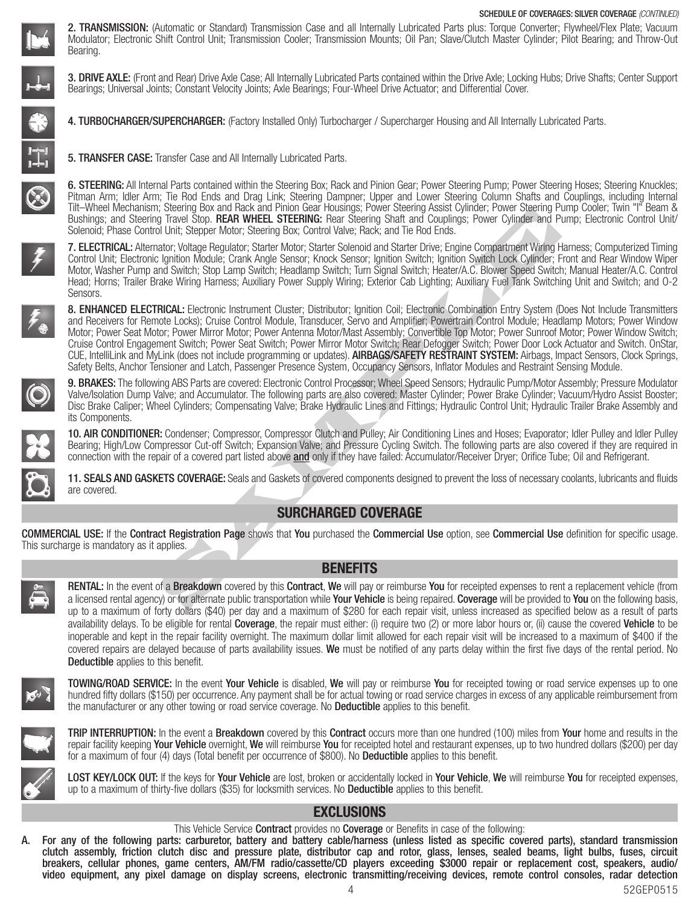

2. TRANSMISSION: (Automatic or Standard) Transmission Case and all Internally Lubricated Parts plus: Torque Converter; Flywheel/Flex Plate; Vacuum Modulator; Electronic Shift Control Unit; Transmission Cooler; Transmission Mounts; Oil Pan; Slave/Clutch Master Cylinder; Pilot Bearing; and Throw-Out Bearing.



3. DRIVE AXLE: (Front and Rear) Drive Axle Case; All Internally Lubricated Parts contained within the Drive Axle; Locking Hubs; Drive Shafts; Center Support Bearings; Universal Joints; Constant Velocity Joints; Axle Bearings; Four-Wheel Drive Actuator; and Differential Cover.

4. TURBOCHARGER/SUPERCHARGER: (Factory Installed Only) Turbocharger / Supercharger Housing and All Internally Lubricated Parts.

5. TRANSFER CASE: Transfer Case and All Internally Lubricated Parts.



6. STEERING: All Internal Parts contained within the Steering Box; Rack and Pinion Gear; Power Steering Pump; Power Steering Hoses; Steering Knuckles; Pitman Arm; Idler Arm; Tie Rod Ends and Drag Link; Steering Dampner; Upper and Lower Steering Column Shafts and Couplings, including Internal Tilt–Wheel Mechanism; Steering Box and Rack and Pinion Gear Housings; Power Steering Assist Cylinder; Power Steering Pump Cooler; Twin "I" Beam & Bushings; and Steering Travel Stop. REAR WHEEL STEERING: Rear Steering Shaft and Couplings; Power Cylinder and Pump; Electronic Control Unit/ Solenoid; Phase Control Unit; Stepper Motor; Steering Box; Control Valve; Rack; and Tie Rod Ends.



7. ELECTRICAL: Alternator; Voltage Regulator; Starter Motor; Starter Solenoid and Starter Drive; Engine Compartment Wiring Harness; Computerized Timing Control Unit; Electronic Ignition Module; Crank Angle Sensor; Knock Sensor; Ignition Switch; Ignition Switch Lock Cylinder; Front and Rear Window Wiper Motor, Washer Pump and Switch; Stop Lamp Switch; Headlamp Switch; Turn Signal Switch; Heater/A.C. Blower Speed Switch; Manual Heater/A.C. Control Head; Horns; Trailer Brake Wiring Harness; Auxiliary Power Supply Wiring; Exterior Cab Lighting; Auxiliary Fuel Tank Switching Unit and Switch; and O-2 Sensors.

The starting box and relative and Termino user of Monday Tower Steeling Fasser Cylinder, Power Steeling That and Couplings. Power Cylinder and Pinameters (The Cylinder and Pinameters (The Cylinder and Pinameters) (The Cyli 8. **ENHANCED ELECTRICAL:** Electronic Instrument Cluster; Distributor; Ignition Coil; Electronic Combination Entry System (Does Not Include Transmitters and Receivers for Remote Locks); Cruise Control Module, Transducer, Servo and Amplifier; Powertrain Control Module; Headlamp Motors; Power Window Motor; Power Seat Motor; Power Mirror Motor; Power Antenna Motor/Mast Assembly; Convertible Top Motor; Power Sunroof Motor; Power Window Switch; Cruise Control Engagement Switch; Power Seat Switch; Power Mirror Motor Switch; Rear Defogger Switch; Power Door Lock Actuator and Switch. OnStar, CUE, IntelliLink and MyLink (does not include programming or updates). AIRBAGS/SAFETY RESTRAINT SYSTEM: Airbags, Impact Sensors, Clock Springs, Safety Belts, Anchor Tensioner and Latch, Passenger Presence System, Occupancy Sensors, Inflator Modules and Restraint Sensing Module.



9. BRAKES: The following ABS Parts are covered: Electronic Control Processor; Wheel Speed Sensors; Hydraulic Pump/Motor Assembly; Pressure Modulator Valve/Isolation Dump Valve; and Accumulator. The following parts are also covered: Master Cylinder; Power Brake Cylinder; Vacuum/Hydro Assist Booster; Disc Brake Caliper; Wheel Cylinders; Compensating Valve; Brake Hydraulic Lines and Fittings; Hydraulic Control Unit; Hydraulic Trailer Brake Assembly and its Components.

10. AIR CONDITIONER: Condenser; Compressor, Compressor Clutch and Pulley; Air Conditioning Lines and Hoses; Evaporator; Idler Pulley and Idler Pulley Bearing; High/Low Compressor Cut-off Switch; Expansion Valve; and Pressure Cycling Switch. The following parts are also covered if they are required in connection with the repair of a covered part listed above and only if they have failed: Accumulator/Receiver Dryer; Orifice Tube; Oil and Refrigerant.

11. SEALS AND GASKETS COVERAGE: Seals and Gaskets of covered components designed to prevent the loss of necessary coolants, lubricants and fluids are covered.

# SURCHARGED COVERAGE

COMMERCIAL USE: If the Contract Registration Page shows that You purchased the Commercial Use option, see Commercial Use definition for specific usage. This surcharge is mandatory as it applies.



## BENEFITS

**RENTAL:** In the event of a **Breakdown** covered by this **Contract, We** will pay or reimburse You for receipted expenses to rent a replacement vehicle (from a licensed rental agency) or for alternate public transportation while Your Vehicle is being repaired. Coverage will be provided to You on the following basis, up to a maximum of forty dollars (\$40) per day and a maximum of \$280 for each repair visit, unless increased as specified below as a result of parts availability delays. To be eligible for rental **Coverage**, the repair must either: (i) require two (2) or more labor hours or, (ii) cause the covered **Vehicle** to be inoperable and kept in the repair facility overnight. The maximum dollar limit allowed for each repair visit will be increased to a maximum of \$400 if the covered repairs are delayed because of parts availability issues. We must be notified of any parts delay within the first five days of the rental period. No Deductible applies to this benefit.



TOWING/ROAD SERVICE: In the event Your Vehicle is disabled, We will pay or reimburse You for receipted towing or road service expenses up to one hundred fifty dollars (\$150) per occurrence. Any payment shall be for actual towing or road service charges in excess of any applicable reimbursement from the manufacturer or any other towing or road service coverage. No **Deductible** applies to this benefit.



**TRIP INTERRUPTION:** In the event a **Breakdown** covered by this **Contract** occurs more than one hundred (100) miles from **Your** home and results in the repair facility keeping Your Vehicle overnight, We will reimburse You for receipted hotel and restaurant expenses, up to two hundred dollars (\$200) per day for a maximum of four (4) days (Total benefit per occurrence of \$800). No **Deductible** applies to this benefit.



LOST KEY/LOCK OUT: If the keys for Your Vehicle are lost, broken or accidentally locked in Your Vehicle, We will reimburse You for receipted expenses, up to a maximum of thirty-five dollars (\$35) for locksmith services. No **Deductible** applies to this benefit.

# EXCLUSIONS

This Vehicle Service **Contract** provides no **Coverage** or Benefits in case of the following:

A. For any of the following parts: carburetor, battery and battery cable/harness (unless listed as specific covered parts), standard transmission clutch assembly, friction clutch disc and pressure plate, distributor cap and rotor, glass, lenses, sealed beams, light bulbs, fuses, circuit breakers, cellular phones, game centers, AM/FM radio/cassette/CD players exceeding \$3000 repair or replacement cost, speakers, audio/ video equipment, any pixel damage on display screens, electronic transmitting/receiving devices, remote control consoles, radar detection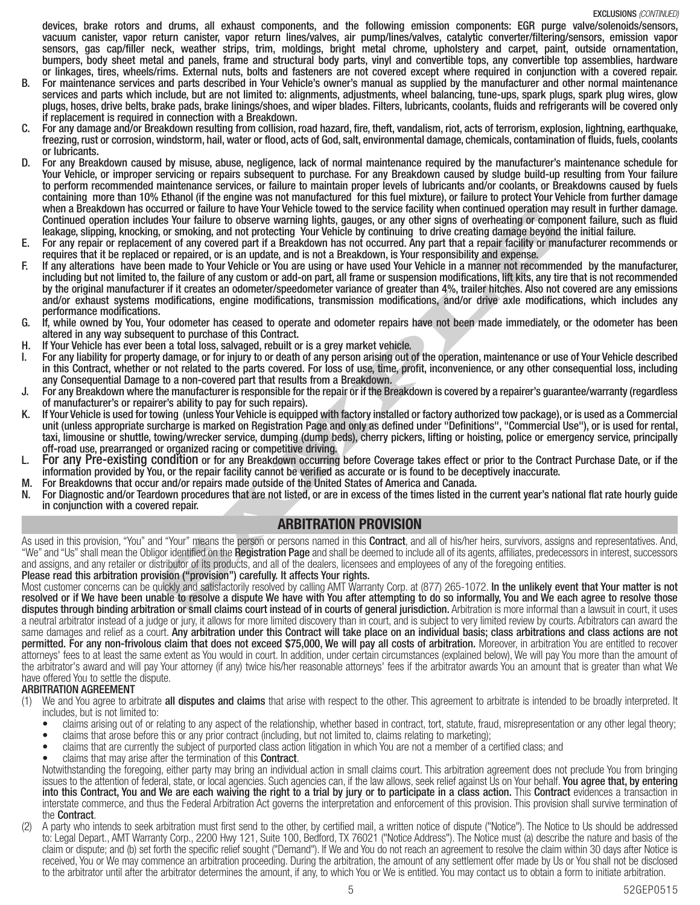devices, brake rotors and drums, all exhaust components, and the following emission components: EGR purge valve/solenoids/sensors, vacuum canister, vapor return canister, vapor return lines/valves, air pump/lines/valves, catalytic converter/filtering/sensors, emission vapor sensors, gas cap/filler neck, weather strips, trim, moldings, bright metal chrome, upholstery and carpet, paint, outside ornamentation, bumpers, body sheet metal and panels, frame and structural body parts, vinyl and convertible tops, any convertible top assemblies, hardware or linkages, tires, wheels/rims. External nuts, bolts and fasteners are not covered except where required in conjunction with a covered repair.

- B. For maintenance services and parts described in Your Vehicle's owner's manual as supplied by the manufacturer and other normal maintenance services and parts which include, but are not limited to: alignments, adjustments, wheel balancing, tune-ups, spark plugs, spark plug wires, glow plugs, hoses, drive belts, brake pads, brake linings/shoes, and wiper blades. Filters, lubricants, coolants, fluids and refrigerants will be covered only if replacement is required in connection with a Breakdown.
- C. For any damage and/or Breakdown resulting from collision, road hazard, fire, theft, vandalism, riot, acts of terrorism, explosion, lightning, earthquake, freezing, rust or corrosion, windstorm, hail, water or flood, acts of God, salt, environmental damage, chemicals, contamination of fluids, fuels, coolants or lubricants.
- D. For any Breakdown caused by misuse, abuse, negligence, lack of normal maintenance required by the manufacturer's maintenance schedule for Your Vehicle, or improper servicing or repairs subsequent to purchase. For any Breakdown caused by sludge build-up resulting from Your failure to perform recommended maintenance services, or failure to maintain proper levels of lubricants and/or coolants, or Breakdowns caused by fuels containing more than 10% Ethanol (if the engine was not manufactured for this fuel mixture), or failure to protect Your Vehicle from further damage when a Breakdown has occurred or failure to have Your Vehicle towed to the service facility when continued operation may result in further damage. Continued operation includes Your failure to observe warning lights, gauges, or any other signs of overheating or component failure, such as fluid leakage, slipping, knocking, or smoking, and not protecting Your Vehicle by continuing to drive creating damage beyond the initial failure.
- E. For any repair or replacement of any covered part if a Breakdown has not occurred. Any part that a repair facility or manufacturer recommends or requires that it be replaced or repaired, or is an update, and is not a Breakdown, is Your responsibility and expense.
- current or rature to nave four ventere towear to me service ataily when commuted operator many and product a start of the position, any coveral current of any covered and the position and to the control of the control of t F. If any alterations have been made to Your Vehicle or You are using or have used Your Vehicle in a manner not recommended by the manufacturer, including but not limited to, the failure of any custom or add-on part, all frame or suspension modifications, lift kits, any tire that is not recommended by the original manufacturer if it creates an odometer/speedometer variance of greater than 4%, trailer hitches. Also not covered are any emissions and/or exhaust systems modifications, engine modifications, transmission modifications, and/or drive axle modifications, which includes any performance modifications.
- G. If, while owned by You, Your odometer has ceased to operate and odometer repairs have not been made immediately, or the odometer has been altered in any way subsequent to purchase of this Contract.
- H. If Your Vehicle has ever been a total loss, salvaged, rebuilt or is a grey market vehicle.
- For any liability for property damage, or for injury to or death of any person arising out of the operation, maintenance or use of Your Vehicle described in this Contract, whether or not related to the parts covered. For loss of use, time, profit, inconvenience, or any other consequential loss, including any Consequential Damage to a non-covered part that results from a Breakdown.
- For any Breakdown where the manufacturer is responsible for the repair or if the Breakdown is covered by a repairer's guarantee/warranty (regardless of manufacturer's or repairer's ability to pay for such repairs).
- If Your Vehicle is used for towing (unless Your Vehicle is equipped with factory installed or factory authorized tow package), or is used as a Commercial unit (unless appropriate surcharge is marked on Registration Page and only as defined under "Definitions", "Commercial Use"), or is used for rental, taxi, limousine or shuttle, towing/wrecker service, dumping (dump beds), cherry pickers, lifting or hoisting, police or emergency service, principally off-road use, prearranged or organized racing or competitive driving.
- L. For any Pre-existing condition or for any Breakdown occurring before Coverage takes effect or prior to the Contract Purchase Date, or if the information provided by You, or the repair facility cannot be verified as accurate or is found to be deceptively inaccurate.
- M. For Breakdowns that occur and/or repairs made outside of the United States of America and Canada.
- N. For Diagnostic and/or Teardown procedures that are not listed, or are in excess of the times listed in the current year's national flat rate hourly guide in conjunction with a covered repair.

## ARBITRATION PROVISION

As used in this provision, "You" and "Your" means the person or persons named in this **Contract**, and all of his/her heirs, survivors, assigns and representatives. And, "We" and "Us" shall mean the Obligor identified on the Registration Page and shall be deemed to include all of its agents, affiliates, predecessors in interest, successors and assigns, and any retailer or distributor of its products, and all of the dealers, licensees and employees of any of the foregoing entities.

Please read this arbitration provision ("provision") carefully. It affects Your rights.

Most customer concerns can be quickly and satisfactorily resolved by calling AMT Warranty Corp. at (877) 265-1072. In the unlikely event that Your matter is not resolved or if We have been unable to resolve a dispute We have with You after attempting to do so informally, You and We each agree to resolve those disputes through binding arbitration or small claims court instead of in courts of general jurisdiction. Arbitration is more informal than a lawsuit in court, it uses a neutral arbitrator instead of a judge or jury, it allows for more limited discovery than in court, and is subject to very limited review by courts. Arbitrators can award the same damages and relief as a court. Any arbitration under this Contract will take place on an individual basis; class arbitrations and class actions are not permitted. For any non-frivolous claim that does not exceed \$75,000, We will pay all costs of arbitration. Moreover, in arbitration You are entitled to recover attorneys' fees to at least the same extent as You would in court. In addition, under certain circumstances (explained below), We will pay You more than the amount of the arbitrator's award and will pay Your attorney (if any) twice his/her reasonable attorneys' fees if the arbitrator awards You an amount that is greater than what We have offered You to settle the dispute.

## ARBITRATION AGREEMENT

- (1) We and You agree to arbitrate **all disputes and claims** that arise with respect to the other. This agreement to arbitrate is intended to be broadly interpreted. It includes, but is not limited to:
	- claims arising out of or relating to any aspect of the relationship, whether based in contract, tort, statute, fraud, misrepresentation or any other legal theory;
	- claims that arose before this or any prior contract (including, but not limited to, claims relating to marketing);
	- claims that are currently the subject of purported class action litigation in which You are not a member of a certified class; and
	-

• claims that may arise after the termination of this Contract.<br>Notwithstanding the foregoing, either party may bring an individual action in small claims court. This arbitration agreement does not preclude You from bringi issues to the attention of federal, state, or local agencies. Such agencies can, if the law allows, seek relief against Us on Your behalf. You agree that, by entering into this Contract, You and We are each waiving the right to a trial by jury or to participate in a class action. This Contract evidences a transaction in interstate commerce, and thus the Federal Arbitration Act governs the interpretation and enforcement of this provision. This provision shall survive termination of the Contract.

(2) A party who intends to seek arbitration must first send to the other, by certified mail, a written notice of dispute ("Notice"). The Notice to Us should be addressed to: Legal Depart., AMT Warranty Corp., 2200 Hwy 121, Suite 100, Bedford, TX 76021 ("Notice Address"). The Notice must (a) describe the nature and basis of the claim or dispute; and (b) set forth the specific relief sought ("Demand"). If We and You do not reach an agreement to resolve the claim within 30 days after Notice is received, You or We may commence an arbitration proceeding. During the arbitration, the amount of any settlement offer made by Us or You shall not be disclosed to the arbitrator until after the arbitrator determines the amount, if any, to which You or We is entitled. You may contact us to obtain a form to initiate arbitration.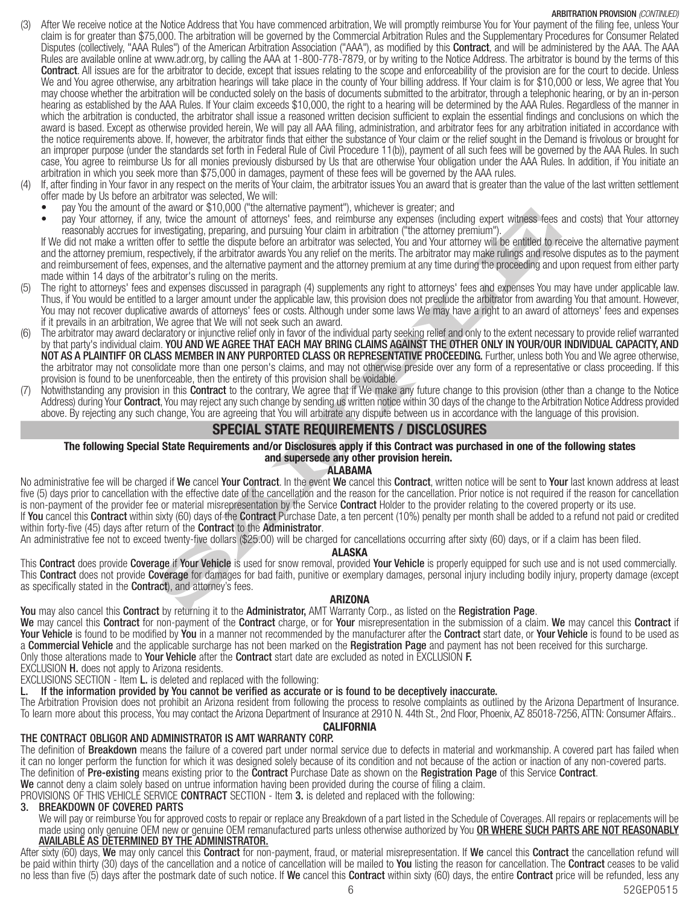### ARBITRATION PROVISION (CONTINUED)

- After We receive notice at the Notice Address that You have commenced arbitration, We will promptly reimburse You for Your payment of the filing fee, unless Your claim is for greater than \$75,000. The arbitration will be governed by the Commercial Arbitration Rules and the Supplementary Procedures for Consumer Related Disputes (collectively, "AAA Rules") of the American Arbitration Association ("AAA"), as modified by this **Contract**, and will be administered by the AAA. The AAA Rules are available online at www.adr.org, by calling the AAA at 1-800-778-7879, or by writing to the Notice Address. The arbitrator is bound by the terms of this Contract. All issues are for the arbitrator to decide, except that issues relating to the scope and enforceability of the provision are for the court to decide. Unless We and You agree otherwise, any arbitration hearings will take place in the county of Your billing address. If Your claim is for \$10,000 or less, We agree that You may choose whether the arbitration will be conducted solely on the basis of documents submitted to the arbitrator, through a telephonic hearing, or by an in-person hearing as established by the AAA Rules. If Your claim exceeds \$10,000, the right to a hearing will be determined by the AAA Rules. Regardless of the manner in which the arbitration is conducted, the arbitrator shall issue a reasoned written decision sufficient to explain the essential findings and conclusions on which the award is based. Except as otherwise provided herein, We will pay all AAA filing, administration, and arbitrator fees for any arbitration initiated in accordance with the notice requirements above. If, however, the arbitrator finds that either the substance of Your claim or the relief sought in the Demand is frivolous or brought for an improper purpose (under the standards set forth in Federal Rule of Civil Procedure 11(b)), payment of all such fees will be governed by the AAA Rules. In such case, You agree to reimburse Us for all monies previously disbursed by Us that are otherwise Your obligation under the AAA Rules. In addition, if You initiate an arbitration in which you seek more than \$75,000 in damages, payment of these fees will be governed by the AAA rules.
- If, after finding in Your favor in any respect on the merits of Your claim, the arbitrator issues You an award that is greater than the value of the last written settlement offer made by Us before an arbitrator was selected, We will:
	- pay You the amount of the award or \$10,000 ("the alternative payment"), whichever is greater; and
	- pay Your attorney, if any, twice the amount of attorneys' fees, and reimburse any expenses (including expert witness fees and costs) that Your attorney reasonably accrues for investigating, preparing, and pursuing Your claim in arbitration ("the attorney premium").

If We did not make a written offer to settle the dispute before an arbitrator was selected, You and Your attorney will be entitled to receive the alternative payment and the attorney premium, respectively, if the arbitrator awards You any relief on the merits. The arbitrator may make rulings and resolve disputes as to the payment and reimbursement of fees, expenses, and the alternative payment and the attorney premium at any time during the proceeding and upon request from either party made within 14 days of the arbitrator's ruling on the merits.

- (5) The right to attorneys' fees and expenses discussed in paragraph (4) supplements any right to attorneys' fees and expenses You may have under applicable law. Thus, if You would be entitled to a larger amount under the applicable law, this provision does not preclude the arbitrator from awarding You that amount. However, You may not recover duplicative awards of attorneys' fees or costs. Although under some laws We may have a right to an award of attorneys' fees and expenses if it prevails in an arbitration, We agree that We will not seek such an award.
- the award of solution of a representation and pursuing in wind-level is used. Far who content that a support the anti-<br>Solution of the animalism and pursuing Your calarin in and/italian ("the attomogy permium"), where the The arbitrator may award declaratory or injunctive relief only in favor of the individual party seeking relief and only to the extent necessary to provide relief warranted by that party's individual claim. YOU AND WE AGREE THAT EACH MAY BRING CLAIMS AGAINST THE OTHER ONLY IN YOUR/OUR INDIVIDUAL CAPACITY, AND NOT AS A PLAINTIFF OR CLASS MEMBER IN ANY PURPORTED CLASS OR REPRESENTATIVE PROCEEDING. Further, unless both You and We agree otherwise, the arbitrator may not consolidate more than one person's claims, and may not otherwise preside over any form of a representative or class proceeding. If this provision is found to be unenforceable, then the entirety of this provision shall be voidable.
- Notwithstanding any provision in this **Contract** to the contrary, We agree that if We make any future change to this provision (other than a change to the Notice Address) during Your Contract, You may reject any such change by sending us written notice within 30 days of the change to the Arbitration Notice Address provided above. By rejecting any such change, You are agreeing that You will arbitrate any dispute between us in accordance with the language of this provision.

## SPECIAL STATE REQUIREMENTS / DISCLOSURES

### The following Special State Requirements and/or Disclosures apply if this Contract was purchased in one of the following states and supersede any other provision herein.

#### ALABAMA

No administrative fee will be charged if We cancel Your Contract. In the event We cancel this Contract, written notice will be sent to Your last known address at least five (5) days prior to cancellation with the effective date of the cancellation and the reason for the cancellation. Prior notice is not required if the reason for cancellation is non-payment of the provider fee or material misrepresentation by the Service Contract Holder to the provider relating to the covered property or its use. If You cancel this Contract within sixty (60) days of the Contract Purchase Date, a ten percent (10%) penalty per month shall be added to a refund not paid or credited within forty-five (45) days after return of the **Contract** to the **Administrator**.

An administrative fee not to exceed twenty-five dollars (\$25.00) will be charged for cancellations occurring after sixty (60) days, or if a claim has been filed.

## ALASKA

This Contract does provide Coverage if Your Vehicle is used for snow removal, provided Your Vehicle is properly equipped for such use and is not used commercially. This Contract does not provide Coverage for damages for bad faith, punitive or exemplary damages, personal injury including bodily injury, property damage (except as specifically stated in the **Contract**), and attorney's fees.

## ARIZONA

You may also cancel this Contract by returning it to the Administrator, AMT Warranty Corp., as listed on the Registration Page.

We may cancel this Contract for non-payment of the Contract charge, or for Your misrepresentation in the submission of a claim. We may cancel this Contract if Your Vehicle is found to be modified by You in a manner not recommended by the manufacturer after the Contract start date, or Your Vehicle is found to be used as a **Commercial Vehicle** and the applicable surcharge has not been marked on the Registration Page and payment has not been received for this surcharge. Only those alterations made to **Your Vehicle** after the **Contract** start date are excluded as noted in EXCLUSION **F.** 

EXCLUSION H. does not apply to Arizona residents.

EXCLUSIONS SECTION - Item L. is deleted and replaced with the following:

L. If the information provided by You cannot be verified as accurate or is found to be deceptively inaccurate.

The Arbitration Provision does not prohibit an Arizona resident from following the process to resolve complaints as outlined by the Arizona Department of Insurance. To learn more about this process, You may contact the Arizona Department of Insurance at 2910 N. 44th St., 2nd Floor, Phoenix, AZ 85018-7256, ATTN: Consumer Affairs..

#### **CALIFORNIA**

## THE CONTRACT OBLIGOR AND ADMINISTRATOR IS AMT WARRANTY CORP.

The definition of Breakdown means the failure of a covered part under normal service due to defects in material and workmanship. A covered part has failed when it can no longer perform the function for which it was designed solely because of its condition and not because of the action or inaction of any non-covered parts. The definition of Pre-existing means existing prior to the Contract Purchase Date as shown on the Registration Page of this Service Contract.

We cannot deny a claim solely based on untrue information having been provided during the course of filing a claim.

PROVISIONS OF THIS VEHICLE SERVICE CONTRACT SECTION - Item 3. is deleted and replaced with the following:

## 3. BREAKDOWN OF COVERED PARTS

We will pay or reimburse You for approved costs to repair or replace any Breakdown of a part listed in the Schedule of Coverages. All repairs or replacements will be made using only genuine OEM new or genuine OEM remanufactured parts unless otherwise authorized by You OR WHERE SUCH PARTS ARE NOT REASONABLY AVAILABLE AS DETERMINED BY THE ADMINISTRATOR.

After sixty (60) days, We may only cancel this Contract for non-payment, fraud, or material misrepresentation. If We cancel this Contract the cancellation refund will be paid within thirty (30) days of the cancellation and a notice of cancellation will be mailed to You listing the reason for cancellation. The Contract ceases to be valid no less than five (5) days after the postmark date of such notice. If We cancel this Contract within sixty (60) days, the entire Contract price will be refunded, less any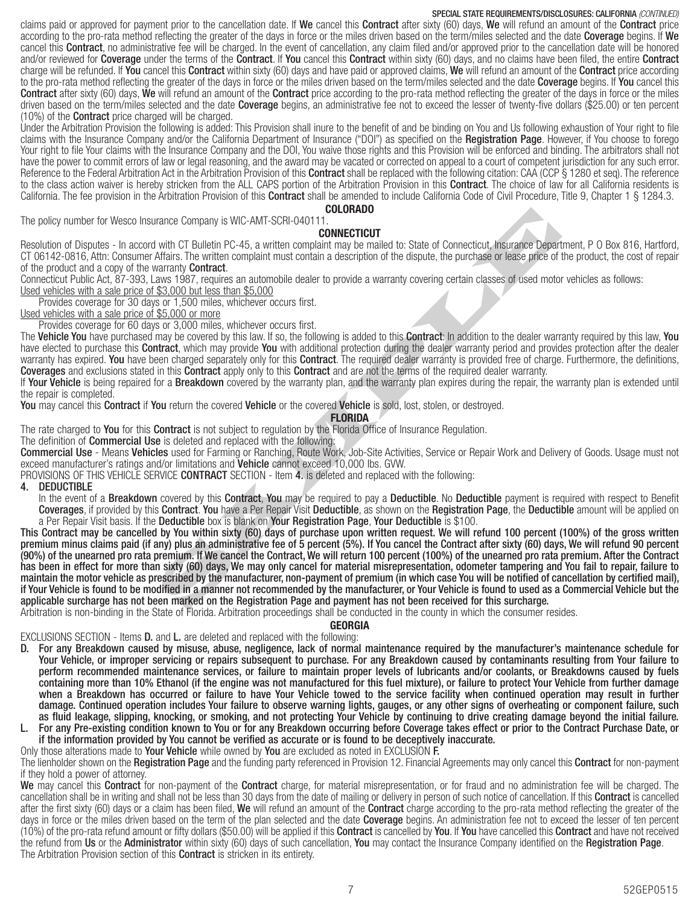## SPECIAL STATE REQUIREMENTS/DISCLOSURES: CALIFORNIA (CONTINUED)

claims paid or approved for payment prior to the cancellation date. If We cancel this Contract after sixty (60) days, We will refund an amount of the Contract price according to the pro-rata method reflecting the greater of the days in force or the miles driven based on the term/miles selected and the date Coverage begins. If We cancel this **Contract**, no administrative fee will be charged. In the event of cancellation, any claim filed and/or approved prior to the cancellation date will be honored and/or reviewed for Coverage under the terms of the Contract. If You cancel this Contract within sixty (60) days, and no claims have been filed, the entire Contract charge will be refunded. If You cancel this Contract within sixty (60) days and have paid or approved claims, We will refund an amount of the Contract price according to the pro-rata method reflecting the greater of the days in force or the miles driven based on the term/miles selected and the date Coverage begins. If You cancel this Contract after sixty (60) days, We will refund an amount of the Contract price according to the pro-rata method reflecting the greater of the days in force or the miles driven based on the term/miles selected and the date **Coverage** begins, an administrative fee not to exceed the lesser of twenty-five dollars (\$25.00) or ten percent (10%) of the Contract price charged will be charged.

Under the Arbitration Provision the following is added: This Provision shall inure to the benefit of and be binding on You and Us following exhaustion of Your right to file claims with the Insurance Company and/or the California Department of Insurance ("DOI") as specified on the Registration Page. However, if You choose to forego Your right to file Your claims with the Insurance Company and the DOI, You waive those rights and this Provision will be enforced and binding. The arbitrators shall not have the power to commit errors of law or legal reasoning, and the award may be vacated or corrected on appeal to a court of competent jurisdiction for any such error. Reference to the Federal Arbitration Act in the Arbitration Provision of this Contract shall be replaced with the following citation: CAA (CCP § 1280 et seq). The reference to the class action waiver is hereby stricken from the ALL CAPS portion of the Arbitration Provision in this **Contract**. The choice of law for all California residents is California. The fee provision in the Arbitration Provision of this **Contract** shall be amended to include California Code of Civil Procedure, Title 9, Chapter 1 § 1284.3. COLORADO

The policy number for Wesco Insurance Company is WIC-AMT-SCRI-040111.

### **CONNECTICUT**

Resolution of Disputes - In accord with CT Bulletin PC-45, a written complaint may be mailed to: State of Connecticut, Insurance Department, P O Box 816, Hartford, CT 06142-0816, Attn: Consumer Affairs. The written complaint must contain a description of the dispute, the purchase or lease price of the product, the cost of repair of the product and a copy of the warranty **Contract**.

Connecticut Public Act, 87-393, Laws 1987, requires an automobile dealer to provide a warranty covering certain classes of used motor vehicles as follows: Used vehicles with a sale price of \$3,000 but less than \$5,000

Provides coverage for 30 days or 1,500 miles, whichever occurs first.

Used vehicles with a sale price of \$5,000 or more

Provides coverage for 60 days or 3,000 miles, whichever occurs first.

The Vehicle You have purchased may be covered by this law. If so, the following is added to this Contract: In addition to the dealer warranty required by this law, You have elected to purchase this **Contract**, which may provide You with additional protection during the dealer warranty period and provides protection after the dealer warranty has expired. You have been charged separately only for this Contract. The required dealer warranty is provided free of charge. Furthermore, the definitions, Coverages and exclusions stated in this Contract apply only to this Contract and are not the terms of the required dealer warranty.

If Your Vehicle is being repaired for a Breakdown covered by the warranty plan, and the warranty plan expires during the repair, the warranty plan is extended until the repair is completed.

You may cancel this Contract if You return the covered Vehicle or the covered Vehicle is sold, lost, stolen, or destroyed.

FLORIDA

The rate charged to You for this Contract is not subject to regulation by the Florida Office of Insurance Regulation.

The definition of **Commercial Use** is deleted and replaced with the following:

Commercial Use - Means Vehicles used for Farming or Ranching, Route Work, Job-Site Activities, Service or Repair Work and Delivery of Goods. Usage must not exceed manufacturer's ratings and/or limitations and Vehicle cannot exceed 10,000 lbs. GVW.

PROVISIONS OF THIS VEHICLE SERVICE CONTRACT SECTION - Item 4. is deleted and replaced with the following:

4. DEDUCTIBLE

In the event of a **Breakdown** covered by this **Contract, You** may be required to pay a **Deductible**. No **Deductible** payment is required with respect to Benefit Coverages, if provided by this Contract. You have a Per Repair Visit Deductible, as shown on the Registration Page, the Deductible amount will be applied on a Per Repair Visit basis. If the Deductible box is blank on Your Registration Page, Your Deductible is \$100.

rance Company is WIC-AMT-SCRI-04011.<br>
with CT Bulletin PC-45, a written companir that the COMECTION<br>
with CT Bulletin PC-45, a written complaint may be mailed to: State of Connecticut, Insurance Depart<br>
stars. The written This Contract may be cancelled by You within sixty (60) days of purchase upon written request. We will refund 100 percent (100%) of the gross written premium minus claims paid (if any) plus an administrative fee of 5 percent (5%). If You cancel the Contract after sixty (60) days, We will refund 90 percent (90%) of the unearned pro rata premium. If We cancel the Contract, We will return 100 percent (100%) of the unearned pro rata premium. After the Contract has been in effect for more than sixty (60) days, We may only cancel for material misrepresentation, odometer tampering and You fail to repair, failure to maintain the motor vehicle as prescribed by the manufacturer, non-payment of premium (in which case You will be notified of cancellation by certified mail), if Your Vehicle is found to be modified in a manner not recommended by the manufacturer, or Your Vehicle is found to used as a Commercial Vehicle but the applicable surcharge has not been marked on the Registration Page and payment has not been received for this surcharge.

Arbitration is non-binding in the State of Florida. Arbitration proceedings shall be conducted in the county in which the consumer resides.

#### GEORGIA

EXCLUSIONS SECTION - Items **D.** and **L.** are deleted and replaced with the following:

- D. For any Breakdown caused by misuse, abuse, negligence, lack of normal maintenance required by the manufacturer's maintenance schedule for Your Vehicle, or improper servicing or repairs subsequent to purchase. For any Breakdown caused by contaminants resulting from Your failure to perform recommended maintenance services, or failure to maintain proper levels of lubricants and/or coolants, or Breakdowns caused by fuels containing more than 10% Ethanol (if the engine was not manufactured for this fuel mixture), or failure to protect Your Vehicle from further damage when a Breakdown has occurred or failure to have Your Vehicle towed to the service facility when continued operation may result in further damage. Continued operation includes Your failure to observe warning lights, gauges, or any other signs of overheating or component failure, such as fluid leakage, slipping, knocking, or smoking, and not protecting Your Vehicle by continuing to drive creating damage beyond the initial failure.
- L. For any Pre-existing condition known to You or for any Breakdown occurring before Coverage takes effect or prior to the Contract Purchase Date, or if the information provided by You cannot be verified as accurate or is found to be deceptively inaccurate.

Only those alterations made to **Your Vehicle** while owned by **You** are excluded as noted in EXCLUSION **F.** 

The lienholder shown on the Registration Page and the funding party referenced in Provision 12. Financial Agreements may only cancel this Contract for non-payment if they hold a power of attorney.

We may cancel this Contract for non-payment of the Contract charge, for material misrepresentation, or for fraud and no administration fee will be charged. The cancellation shall be in writing and shall not be less than 30 days from the date of mailing or delivery in person of such notice of cancellation. If this Contract is cancelled after the first sixty (60) days or a claim has been filed, We will refund an amount of the Contract charge according to the pro-rata method reflecting the greater of the days in force or the miles driven based on the term of the plan selected and the date **Coverage** begins. An administration fee not to exceed the lesser of ten percent (10%) of the pro-rata refund amount or fifty dollars (\$50.00) will be applied if this **Contract** is cancelled by **You**. If **You** have cancelled this **Contract** and have not received the refund from Us or the Administrator within sixty (60) days of such cancellation, You may contact the Insurance Company identified on the Registration Page. The Arbitration Provision section of this **Contract** is stricken in its entirety.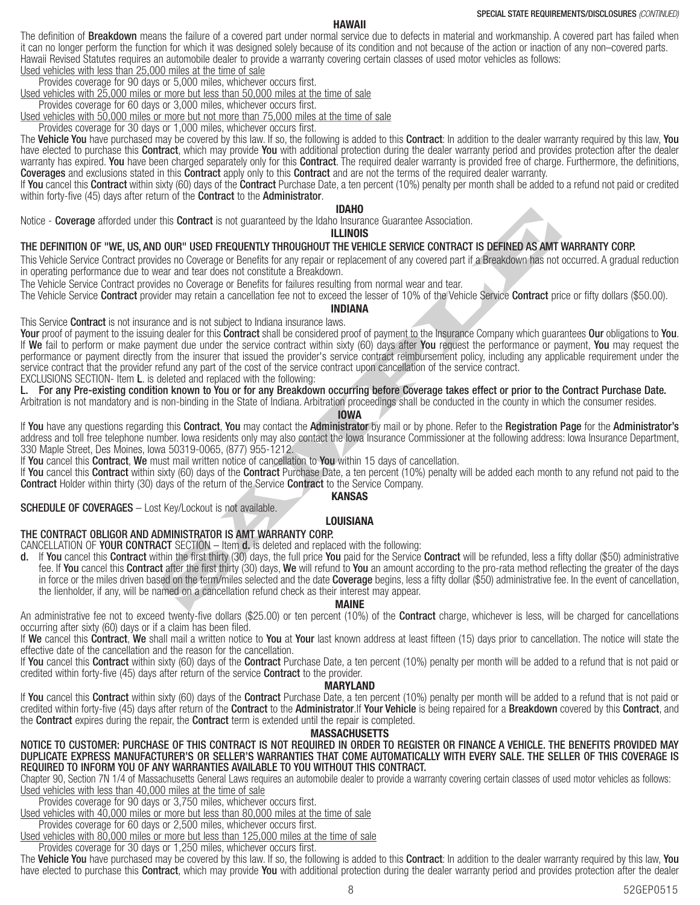## HAWAII

The definition of **Breakdown** means the failure of a covered part under normal service due to defects in material and workmanship. A covered part has failed when it can no longer perform the function for which it was designed solely because of its condition and not because of the action or inaction of any non–covered parts. Hawaii Revised Statutes requires an automobile dealer to provide a warranty covering certain classes of used motor vehicles as follows: Used vehicles with less than 25,000 miles at the time of sale

Provides coverage for 90 days or 5,000 miles, whichever occurs first.

Used vehicles with 25,000 miles or more but less than 50,000 miles at the time of sale

Provides coverage for 60 days or 3,000 miles, whichever occurs first.

Used vehicles with 50,000 miles or more but not more than 75,000 miles at the time of sale

Provides coverage for 30 days or 1,000 miles, whichever occurs first.

The Vehicle You have purchased may be covered by this law. If so, the following is added to this Contract: In addition to the dealer warranty required by this law, You have elected to purchase this **Contract**, which may provide You with additional protection during the dealer warranty period and provides protection after the dealer warranty has expired. You have been charged separately only for this Contract. The required dealer warranty is provided free of charge. Furthermore, the definitions, Coverages and exclusions stated in this Contract apply only to this Contract and are not the terms of the required dealer warranty.

If You cancel this Contract within sixty (60) days of the Contract Purchase Date, a ten percent (10%) penalty per month shall be added to a refund not paid or credited within forty-five (45) days after return of the **Contract** to the **Administrator**.

#### IDAHO

Notice - Coverage afforded under this Contract is not guaranteed by the Idaho Insurance Guarantee Association.

ILLINOIS

#### THE DEFINITION OF "WE, US, AND OUR" USED FREQUENTLY THROUGHOUT THE VEHICLE SERVICE CONTRACT IS DEFINED AS AMT WARRANTY CORP.

This Vehicle Service Contract provides no Coverage or Benefits for any repair or replacement of any covered part if a Breakdown has not occurred. A gradual reduction in operating performance due to wear and tear does not constitute a Breakdown.

The Vehicle Service Contract provides no Coverage or Benefits for failures resulting from normal wear and tear.

The Vehicle Service Contract provider may retain a cancellation fee not to exceed the lesser of 10% of the Vehicle Service Contract price or fifty dollars (\$50.00).

#### INDIANA

This Service **Contract** is not insurance and is not subject to Indiana insurance laws.

this **Contract** is not guaranteed by the Idaho Insurance Guarantee Association.<br> **D. OUR" USED FREQUENTLY THROUGHOUT THE VEHICLE SERVICE CONTRACT IS DEFINED AS AMT**<br>
Ides no Coverage or Benefits for any repair or replaceme Your proof of payment to the issuing dealer for this Contract shall be considered proof of payment to the Insurance Company which guarantees Our obligations to You. If We fail to perform or make payment due under the service contract within sixty (60) days after You request the performance or payment, You may request the performance or payment directly from the insurer that issued the provider's service contract reimbursement policy, including any applicable requirement under the service contract that the provider refund any part of the cost of the service contract upon cancellation of the service contract.

EXCLUSIONS SECTION- Item L. is deleted and replaced with the following:

L. For any Pre-existing condition known to You or for any Breakdown occurring before Coverage takes effect or prior to the Contract Purchase Date.

Arbitration is not mandatory and is non-binding in the State of Indiana. Arbitration proceedings shall be conducted in the county in which the consumer resides.

## IOWA

If You have any questions regarding this Contract, You may contact the Administrator by mail or by phone. Refer to the Registration Page for the Administrator's address and toll free telephone number. Iowa residents only may also contact the Iowa Insurance Commissioner at the following address: Iowa Insurance Department, 330 Maple Street, Des Moines, Iowa 50319-0065, (877) 955-1212.

If You cancel this Contract, We must mail written notice of cancellation to You within 15 days of cancellation.

If You cancel this Contract within sixty (60) days of the Contract Purchase Date, a ten percent (10%) penalty will be added each month to any refund not paid to the Contract Holder within thirty (30) days of the return of the Service Contract to the Service Company.

#### KANSAS

SCHEDULE OF COVERAGES – Lost Key/Lockout is not available.

#### LOUISIANA

### THE CONTRACT OBLIGOR AND ADMINISTRATOR IS AMT WARRANTY CORP.

CANCELLATION OF YOUR CONTRACT SECTION – Item d. is deleted and replaced with the following:

d. If You cancel this Contract within the first thirty (30) days, the full price You paid for the Service Contract will be refunded, less a fifty dollar (\$50) administrative fee. If You cancel this Contract after the first thirty (30) days, We will refund to You an amount according to the pro-rata method reflecting the greater of the days in force or the miles driven based on the term/miles selected and the date Coverage begins, less a fifty dollar (\$50) administrative fee. In the event of cancellation, the lienholder, if any, will be named on a cancellation refund check as their interest may appear.

#### MAINE

An administrative fee not to exceed twenty-five dollars (\$25.00) or ten percent (10%) of the Contract charge, whichever is less, will be charged for cancellations occurring after sixty (60) days or if a claim has been filed.

If We cancel this Contract, We shall mail a written notice to You at Your last known address at least fifteen (15) days prior to cancellation. The notice will state the effective date of the cancellation and the reason for the cancellation.

If You cancel this Contract within sixty (60) days of the Contract Purchase Date, a ten percent (10%) penalty per month will be added to a refund that is not paid or credited within forty-five (45) days after return of the service **Contract** to the provider.

#### MARYLAND

If You cancel this Contract within sixty (60) days of the Contract Purchase Date, a ten percent (10%) penalty per month will be added to a refund that is not paid or credited within forty-five (45) days after return of the Contract to the Administrator.If Your Vehicle is being repaired for a Breakdown covered by this Contract, and the **Contract** expires during the repair, the **Contract** term is extended until the repair is completed.

#### **MASSACHUSETTS**

NOTICE TO CUSTOMER: PURCHASE OF THIS CONTRACT IS NOT REQUIRED IN ORDER TO REGISTER OR FINANCE A VEHICLE. THE BENEFITS PROVIDED MAY DUPLICATE EXPRESS MANUFACTURER'S OR SELLER'S WARRANTIES THAT COME AUTOMATICALLY WITH EVERY SALE. THE SELLER OF THIS COVERAGE IS REQUIRED TO INFORM YOU OF ANY WARRANTIES AVAILABLE TO YOU WITHOUT THIS CONTRACT.

Chapter 90, Section 7N 1/4 of Massachusetts General Laws requires an automobile dealer to provide a warranty covering certain classes of used motor vehicles as follows: Used vehicles with less than 40,000 miles at the time of sale

Provides coverage for 90 days or 3,750 miles, whichever occurs first.

Used vehicles with 40,000 miles or more but less than 80,000 miles at the time of sale

Provides coverage for 60 days or 2,500 miles, whichever occurs first. Used vehicles with 80,000 miles or more but less than 125,000 miles at the time of sale

Provides coverage for 30 days or 1,250 miles, whichever occurs first.

The Vehicle You have purchased may be covered by this law. If so, the following is added to this Contract: In addition to the dealer warranty required by this law, You have elected to purchase this **Contract**, which may provide You with additional protection during the dealer warranty period and provides protection after the dealer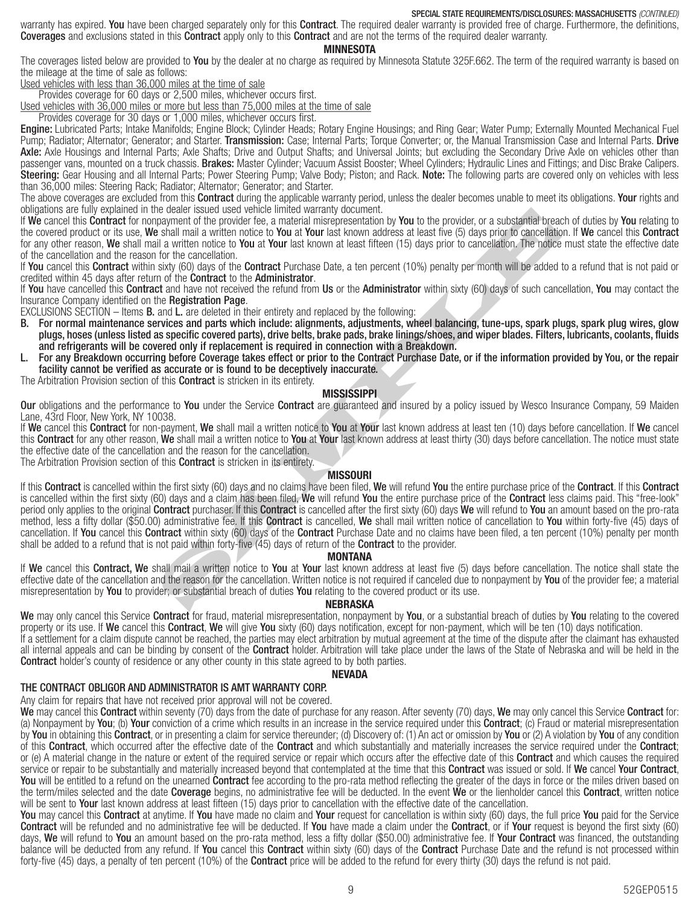#### SPECIAL STATE REQUIREMENTS/DISCLOSURES: MASSACHUSETTS (CONTINUED)

warranty has expired. You have been charged separately only for this Contract. The required dealer warranty is provided free of charge. Furthermore, the definitions, Coverages and exclusions stated in this Contract apply only to this Contract and are not the terms of the required dealer warranty.

#### **MINNESOTA**

The coverages listed below are provided to You by the dealer at no charge as required by Minnesota Statute 325F.662. The term of the required warranty is based on the mileage at the time of sale as follows:

Used vehicles with less than 36,000 miles at the time of sale

Provides coverage for 60 days or 2,500 miles, whichever occurs first.

Used vehicles with 36,000 miles or more but less than 75,000 miles at the time of sale

Provides coverage for 30 days or 1,000 miles, whichever occurs first.

Engine: Lubricated Parts; Intake Manifolds; Engine Block; Cylinder Heads; Rotary Engine Housings; and Ring Gear; Water Pump; Externally Mounted Mechanical Fuel Pump; Radiator; Alternator; Generator; and Starter. Transmission: Case; Internal Parts; Torque Converter; or, the Manual Transmission Case and Internal Parts. Drive Axle: Axle Housings and Internal Parts; Axle Shafts; Drive and Output Shafts; and Universal Joints; but excluding the Secondary Drive Axle on vehicles other than passenger vans, mounted on a truck chassis. Brakes: Master Cylinder; Vacuum Assist Booster; Wheel Cylinders; Hydraulic Lines and Fittings; and Disc Brake Calipers. Steering: Gear Housing and all Internal Parts; Power Steering Pump; Valve Body; Piston; and Rack. Note: The following parts are covered only on vehicles with less than 36,000 miles: Steering Rack; Radiator; Alternator; Generator; and Starter.

The above coverages are excluded from this **Contract** during the applicable warranty period, unless the dealer becomes unable to meet its obligations. Your rights and obligations are fully explained in the dealer issued used vehicle limited warranty document.

If We cancel this Contract for nonpayment of the provider fee, a material misrepresentation by You to the provider, or a substantial breach of duties by You relating to the covered product or its use, We shall mail a written notice to You at Your last known address at least five (5) days prior to cancellation. If We cancel this Contract for any other reason, We shall mail a written notice to You at Your last known at least fifteen (15) days prior to cancellation. The notice must state the effective date of the cancellation and the reason for the cancellation.

If You cancel this Contract within sixty (60) days of the Contract Purchase Date, a ten percent (10%) penalty per month will be added to a refund that is not paid or credited within 45 days after return of the **Contract** to the **Administrator**.

If You have cancelled this Contract and have not received the refund from Us or the Administrator within sixty (60) days of such cancellation, You may contact the Insurance Company identified on the Registration Page.

EXCLUSIONS SECTION – Items  $B$ , and  $L$ , are deleted in their entirety and replaced by the following:

- B. For normal maintenance services and parts which include: alignments, adjustments, wheel balancing, tune-ups, spark plugs, spark plug wires, glow plugs, hoses (unless listed as specific covered parts), drive belts, brake pads, brake linings/shoes, and wiper blades. Filters, lubricants, coolants, fluids and refrigerants will be covered only if replacement is required in connection with a Breakdown.
- L. For any Breakdown occurring before Coverage takes effect or prior to the Contract Purchase Date, or if the information provided by You, or the repair facility cannot be verified as accurate or is found to be deceptively inaccurate.

The Arbitration Provision section of this **Contract** is stricken in its entirety.

#### **MISSISSIPPI**

**Our** obligations and the performance to You under the Service Contract are guaranteed and insured by a policy issued by Wesco Insurance Company, 59 Maiden Lane, 43rd Floor, New York, NY 10038.

If We cancel this Contract for non-payment, We shall mail a written notice to You at Your last known address at least ten (10) days before cancellation. If We cancel this Contract for any other reason, We shall mail a written notice to You at Your last known address at least thirty (30) days before cancellation. The notice must state the effective date of the cancellation and the reason for the cancellation.

The Arbitration Provision section of this **Contract** is stricken in its entirety.

#### **MISSOURI**

e dealer issued used venture lumed warranty document.<br>In a small mail a written notice to You at Your last known address at least five (5) days prior to cancellation. The notice to You at Your last known at least fifteen ( If this Contract is cancelled within the first sixty (60) days and no claims have been filed, We will refund You the entire purchase price of the Contract. If this Contract is cancelled within the first sixty (60) days and a claim has been filed, We will refund You the entire purchase price of the Contract less claims paid. This "free-look" period only applies to the original **Contract** purchaser. If this **Contract** is cancelled after the first sixty (60) days **We** will refund to You an amount based on the pro-rata method, less a fifty dollar (\$50.00) administrative fee. If this **Contract** is cancelled, We shall mail written notice of cancellation to You within forty-five (45) days of cancellation. If You cancel this Contract within sixty (60) days of the Contract Purchase Date and no claims have been filed, a ten percent (10%) penalty per month shall be added to a refund that is not paid within forty-five (45) days of return of the **Contract** to the provider.

#### MONTANA

If We cancel this Contract, We shall mail a written notice to You at Your last known address at least five (5) days before cancellation. The notice shall state the effective date of the cancellation and the reason for the cancellation. Written notice is not required if canceled due to nonpayment by You of the provider fee; a material misrepresentation by You to provider; or substantial breach of duties You relating to the covered product or its use.

#### NEBRASKA

We may only cancel this Service Contract for fraud, material misrepresentation, nonpayment by You, or a substantial breach of duties by You relating to the covered property or its use. If We cancel this Contract, We will give You sixty (60) days notification, except for non-payment, which will be ten (10) days notification.

If a settlement for a claim dispute cannot be reached, the parties may elect arbitration by mutual agreement at the time of the dispute after the claimant has exhausted all internal appeals and can be binding by consent of the **Contract** holder. Arbitration will take place under the laws of the State of Nebraska and will be held in the **Contract** holder's county of residence or any other county in this state agreed to by both parties.

#### NEVADA

#### THE CONTRACT OBLIGOR AND ADMINISTRATOR IS AMT WARRANTY CORP.

Any claim for repairs that have not received prior approval will not be covered.

We may cancel this Contract within seventy (70) days from the date of purchase for any reason. After seventy (70) days, We may only cancel this Service Contract for: (a) Nonpayment by You; (b) Your conviction of a crime which results in an increase in the service required under this Contract; (c) Fraud or material misrepresentation by You in obtaining this Contract, or in presenting a claim for service thereunder; (d) Discovery of: (1) An act or omission by You or (2) A violation by You of any condition of this Contract, which occurred after the effective date of the Contract and which substantially and materially increases the service required under the Contract; or (e) A material change in the nature or extent of the required service or repair which occurs after the effective date of this **Contract** and which causes the required service or repair to be substantially and materially increased beyond that contemplated at the time that this **Contract** was issued or sold. If We cancel Your Contract, You will be entitled to a refund on the unearned Contract fee according to the pro-rata method reflecting the greater of the days in force or the miles driven based on the term/miles selected and the date Coverage begins, no administrative fee will be deducted. In the event We or the lienholder cancel this Contract, written notice will be sent to Your last known address at least fifteen (15) days prior to cancellation with the effective date of the cancellation.

You may cancel this Contract at anytime. If You have made no claim and Your request for cancellation is within sixty (60) days, the full price You paid for the Service Contract will be refunded and no administrative fee will be deducted. If You have made a claim under the Contract, or if Your request is beyond the first sixty (60) days, We will refund to You an amount based on the pro-rata method, less a fifty dollar (\$50.00) administrative fee. If Your Contract was financed, the outstanding balance will be deducted from any refund. If You cancel this Contract within sixty (60) days of the Contract Purchase Date and the refund is not processed within forty-five (45) days, a penalty of ten percent (10%) of the **Contract** price will be added to the refund for every thirty (30) days the refund is not paid.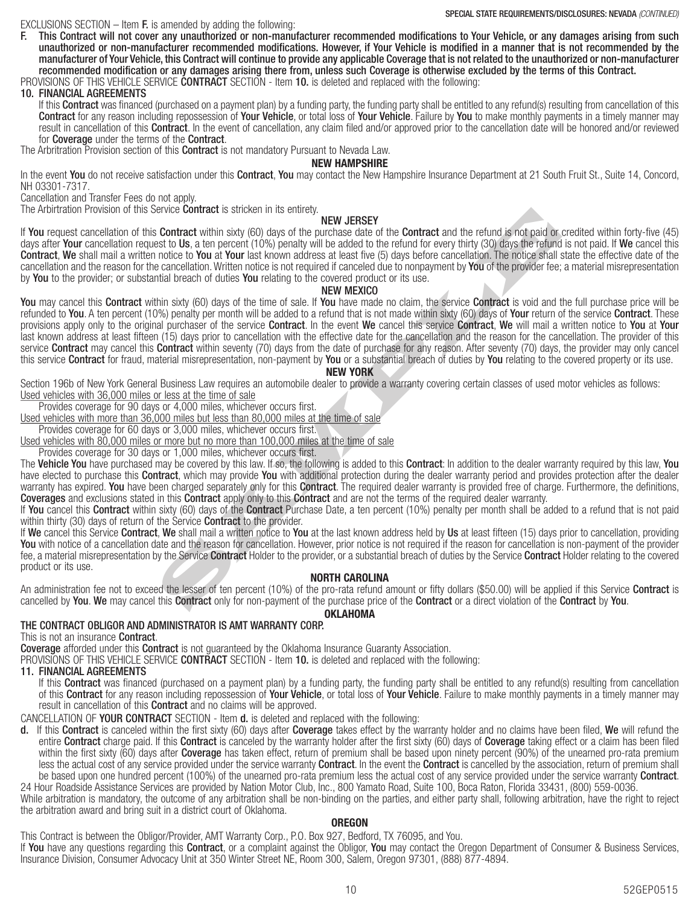EXCLUSIONS SECTION  $-$  Item **F.** is amended by adding the following:

F. This Contract will not cover any unauthorized or non-manufacturer recommended modifications to Your Vehicle, or any damages arising from such unauthorized or non-manufacturer recommended modifications. However, if Your Vehicle is modified in a manner that is not recommended by the manufacturer of Your Vehicle, this Contract will continue to provide any applicable Coverage that is not related to the unauthorized or non-manufacturer recommended modification or any damages arising there from, unless such Coverage is otherwise excluded by the terms of this Contract. PROVISIONS OF THIS VEHICLE SERVICE CONTRACT SECTION - Item 10. is deleted and replaced with the following:

## 10. FINANCIAL AGREEMENTS

If this **Contract** was financed (purchased on a payment plan) by a funding party, the funding party shall be entitled to any refund(s) resulting from cancellation of this Contract for any reason including repossession of Your Vehicle, or total loss of Your Vehicle. Failure by You to make monthly payments in a timely manner may result in cancellation of this **Contract**. In the event of cancellation, any claim filed and/or approved prior to the cancellation date will be honored and/or reviewed for Coverage under the terms of the Contract.

The Arbritration Provision section of this **Contract** is not mandatory Pursuant to Nevada Law.

## NEW HAMPSHIRE

In the event You do not receive satisfaction under this Contract, You may contact the New Hampshire Insurance Department at 21 South Fruit St., Suite 14, Concord, NH 03301-7317.

Cancellation and Transfer Fees do not apply.

The Arbirtration Provision of this Service **Contract** is stricken in its entirety.

#### NEW JERSEY

If You request cancellation of this Contract within sixty (60) days of the purchase date of the Contract and the refund is not paid or credited within forty-five (45) days after Your cancellation request to Us, a ten percent (10%) penalty will be added to the refund for every thirty (30) days the refund is not paid. If We cancel this Contract, We shall mail a written notice to You at Your last known address at least five (5) days before cancellation. The notice shall state the effective date of the cancellation and the reason for the cancellation. Written notice is not required if canceled due to nonpayment by You of the provider fee; a material misrepresentation by You to the provider; or substantial breach of duties You relating to the covered product or its use.

### NEW MEXICO

ervice Contract is stricken in its entirely.<br>
Contract within sixty (66) days of the purchase date of the Contract and the refund is not paid or<br>
sto to Us, a ten percent (10%) penalty will be added to the refund for every You may cancel this Contract within sixty (60) days of the time of sale. If You have made no claim, the service Contract is void and the full purchase price will be refunded to You. A ten percent (10%) penalty per month will be added to a refund that is not made within sixty (60) days of Your return of the service Contract. These provisions apply only to the original purchaser of the service Contract. In the event We cancel this service Contract, We will mail a written notice to You at Your last known address at least fifteen (15) days prior to cancellation with the effective date for the cancellation and the reason for the cancellation. The provider of this service Contract may cancel this Contract within seventy (70) days from the date of purchase for any reason. After seventy (70) days, the provider may only cancel this service Contract for fraud, material misrepresentation, non-payment by You or a substantial breach of duties by You relating to the covered property or its use.

#### NEW YORK

Section 196b of New York General Business Law requires an automobile dealer to provide a warranty covering certain classes of used motor vehicles as follows: Used vehicles with 36,000 miles or less at the time of sale

Provides coverage for 90 days or 4,000 miles, whichever occurs first.

Used vehicles with more than 36,000 miles but less than 80,000 miles at the time of sale

Provides coverage for 60 days or 3,000 miles, whichever occurs first.

Used vehicles with 80,000 miles or more but no more than 100,000 miles at the time of sale

Provides coverage for 30 days or 1,000 miles, whichever occurs first.

The Vehicle You have purchased may be covered by this law. If so, the following is added to this Contract: In addition to the dealer warranty required by this law, You have elected to purchase this **Contract**, which may provide You with additional protection during the dealer warranty period and provides protection after the dealer warranty has expired. You have been charged separately only for this Contract. The required dealer warranty is provided free of charge. Furthermore, the definitions, Coverages and exclusions stated in this Contract apply only to this Contract and are not the terms of the required dealer warranty.

If You cancel this Contract within sixty (60) days of the Contract Purchase Date, a ten percent (10%) penalty per month shall be added to a refund that is not paid within thirty (30) days of return of the Service **Contract** to the provider.

If We cancel this Service Contract, We shall mail a written notice to You at the last known address held by Us at least fifteen (15) days prior to cancellation, providing You with notice of a cancellation date and the reason for cancellation. However, prior notice is not required if the reason for cancellation is non-payment of the provider fee, a material misrepresentation by the Service Contract Holder to the provider, or a substantial breach of duties by the Service Contract Holder relating to the covered product or its use.

#### NORTH CAROLINA

An administration fee not to exceed the lesser of ten percent (10%) of the pro-rata refund amount or fifty dollars (\$50.00) will be applied if this Service Contract is cancelled by You. We may cancel this Contract only for non-payment of the purchase price of the Contract or a direct violation of the Contract by You.

#### **OKLAHOMA**

## THE CONTRACT OBLIGOR AND ADMINISTRATOR IS AMT WARRANTY CORP.

This is not an insurance **Contract**.

**Coverage** afforded under this **Contract** is not guaranteed by the Oklahoma Insurance Guaranty Association.

PROVISIONS OF THIS VEHICLE SERVICE **CONTRACT** SECTION - Item **10.** is deleted and replaced with the following:

11. FINANCIAL AGREEMENTS

If this **Contract** was financed (purchased on a payment plan) by a funding party, the funding party shall be entitled to any refund(s) resulting from cancellation of this Contract for any reason including repossession of Your Vehicle, or total loss of Your Vehicle. Failure to make monthly payments in a timely manner may result in cancellation of this **Contract** and no claims will be approved.

CANCELLATION OF YOUR CONTRACT SECTION - Item d. is deleted and replaced with the following:

d. If this Contract is canceled within the first sixty (60) days after Coverage takes effect by the warranty holder and no claims have been filed, We will refund the entire Contract charge paid. If this Contract is canceled by the warranty holder after the first sixty (60) days of Coverage taking effect or a claim has been filed within the first sixty (60) days after **Coverage** has taken effect, return of premium shall be based upon ninety percent (90%) of the unearned pro-rata premium less the actual cost of any service provided under the service warranty Contract. In the event the Contract is cancelled by the association, return of premium shall be based upon one hundred percent (100%) of the unearned pro-rata premium less the actual cost of any service provided under the service warranty **Contract**.

24 Hour Roadside Assistance Services are provided by Nation Motor Club, Inc., 800 Yamato Road, Suite 100, Boca Raton, Florida 33431, (800) 559-0036. While arbitration is mandatory, the outcome of any arbitration shall be non-binding on the parties, and either party shall, following arbitration, have the right to reject the arbitration award and bring suit in a district court of Oklahoma.

#### **OREGON**

This Contract is between the Obligor/Provider, AMT Warranty Corp., P.O. Box 927, Bedford, TX 76095, and You. If You have any questions regarding this Contract, or a complaint against the Obligor, You may contact the Oregon Department of Consumer & Business Services, Insurance Division, Consumer Advocacy Unit at 350 Winter Street NE, Room 300, Salem, Oregon 97301, (888) 877-4894.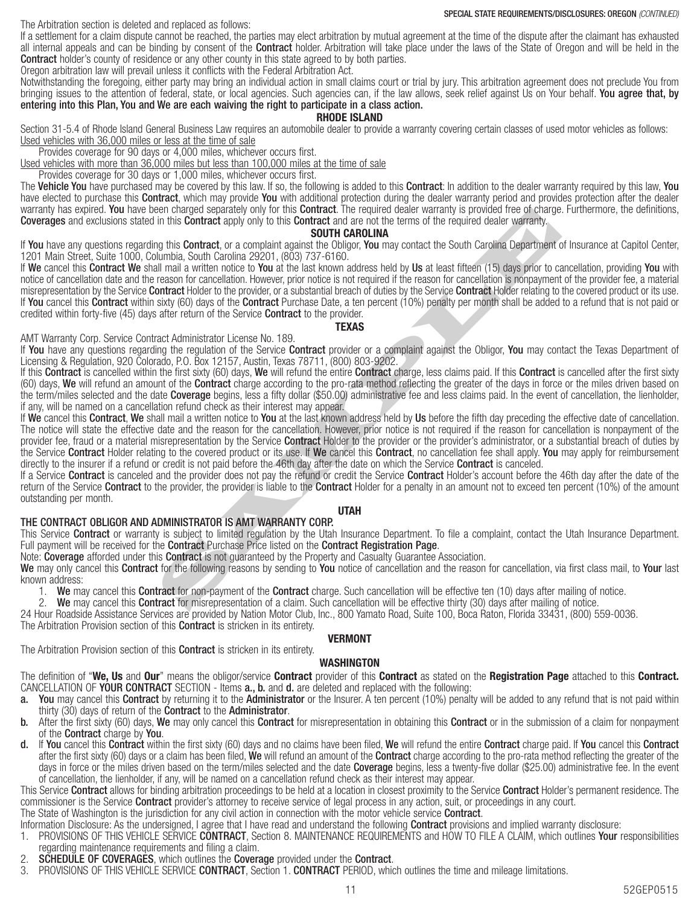The Arbitration section is deleted and replaced as follows:

If a settlement for a claim dispute cannot be reached, the parties may elect arbitration by mutual agreement at the time of the dispute after the claimant has exhausted all internal appeals and can be binding by consent of the **Contract** holder. Arbitration will take place under the laws of the State of Oregon and will be held in the **Contract** holder's county of residence or any other county in this state agreed to by both parties.

Oregon arbitration law will prevail unless it conflicts with the Federal Arbitration Act.

Notwithstanding the foregoing, either party may bring an individual action in small claims court or trial by jury. This arbitration agreement does not preclude You from bringing issues to the attention of federal, state, or local agencies. Such agencies can, if the law allows, seek relief against Us on Your behalf. You agree that, by entering into this Plan, You and We are each waiving the right to participate in a class action.

#### RHODE ISLAND

Section 31-5.4 of Rhode Island General Business Law requires an automobile dealer to provide a warranty covering certain classes of used motor vehicles as follows: Used vehicles with 36,000 miles or less at the time of sale

Provides coverage for 90 days or 4,000 miles, whichever occurs first.

Used vehicles with more than 36,000 miles but less than 100,000 miles at the time of sale

Provides coverage for 30 days or 1,000 miles, whichever occurs first.

The Vehicle You have purchased may be covered by this law. If so, the following is added to this Contract: In addition to the dealer warranty required by this law, You have elected to purchase this **Contract**, which may provide You with additional protection during the dealer warranty period and provides protection after the dealer warranty has expired. You have been charged separately only for this Contract. The required dealer warranty is provided free of charge. Furthermore, the definitions, Coverages and exclusions stated in this Contract apply only to this Contract and are not the terms of the required dealer warranty.

#### SOUTH CAROLINA

If You have any questions regarding this Contract, or a complaint against the Obligor, You may contact the South Carolina Department of Insurance at Capitol Center, 1201 Main Street, Suite 1000, Columbia, South Carolina 29201, (803) 737-6160.

is in this Contract apply for this Contract. In equired deair warranty, is provided free of charge<br>in this Contract, or a complaint against the follow. **SOUTH CAROLINA**<br>In this Contract, or a complaint against the Obligor, If We cancel this Contract We shall mail a written notice to You at the last known address held by Us at least fifteen (15) days prior to cancellation, providing You with notice of cancellation date and the reason for cancellation. However, prior notice is not required if the reason for cancellation is nonpayment of the provider fee, a material misrepresentation by the Service Contract Holder to the provider, or a substantial breach of duties by the Service Contract Holder relating to the covered product or its use. If You cancel this Contract within sixty (60) days of the Contract Purchase Date, a ten percent (10%) penalty per month shall be added to a refund that is not paid or credited within forty-five (45) days after return of the Service **Contract** to the provider.

### **TEXAS**

AMT Warranty Corp. Service Contract Administrator License No. 189.

If You have any questions regarding the regulation of the Service Contract provider or a complaint against the Obligor, You may contact the Texas Department of Licensing & Regulation, 920 Colorado, P.O. Box 12157, Austin, Texas 78711, (800) 803-9202.

If this Contract is cancelled within the first sixty (60) days, We will refund the entire Contract charge, less claims paid. If this Contract is cancelled after the first sixty (60) days, We will refund an amount of the Contract charge according to the pro-rata method reflecting the greater of the days in force or the miles driven based on the term/miles selected and the date Coverage begins, less a fifty dollar (\$50.00) administrative fee and less claims paid. In the event of cancellation, the lienholder, if any, will be named on a cancellation refund check as their interest may appear.

If We cancel this Contract, We shall mail a written notice to You at the last known address held by Us before the fifth day preceding the effective date of cancellation. The notice will state the effective date and the reason for the cancellation. However, prior notice is not required if the reason for cancellation is nonpayment of the provider fee, fraud or a material misrepresentation by the Service Contract Holder to the provider or the provider's administrator, or a substantial breach of duties by the Service Contract Holder relating to the covered product or its use. If We cancel this Contract, no cancellation fee shall apply. You may apply for reimbursement directly to the insurer if a refund or credit is not paid before the 46th day after the date on which the Service **Contract** is canceled.

If a Service Contract is canceled and the provider does not pay the refund or credit the Service Contract Holder's account before the 46th day after the date of the return of the Service **Contract** to the provider, the provider is liable to the **Contract** Holder for a penalty in an amount not to exceed ten percent (10%) of the amount outstanding per month.

## UTAH

## THE CONTRACT OBLIGOR AND ADMINISTRATOR IS AMT WARRANTY CORP.

This Service Contract or warranty is subject to limited regulation by the Utah Insurance Department. To file a complaint, contact the Utah Insurance Department. Full payment will be received for the **Contract** Purchase Price listed on the **Contract Registration Page**.

Note: Coverage afforded under this Contract is not guaranteed by the Property and Casualty Guarantee Association.

We may only cancel this Contract for the following reasons by sending to You notice of cancellation and the reason for cancellation, via first class mail, to Your last known address:

1. We may cancel this Contract for non-payment of the Contract charge. Such cancellation will be effective ten (10) days after mailing of notice.<br>2. We may cancel this Contract for misrepresentation of a claim. Such cancel

We may cancel this Contract for misrepresentation of a claim. Such cancellation will be effective thirty (30) days after mailing of notice.

24 Hour Roadside Assistance Services are provided by Nation Motor Club, Inc., 800 Yamato Road, Suite 100, Boca Raton, Florida 33431, (800) 559-0036.

The Arbitration Provision section of this **Contract** is stricken in its entirety.

## VERMONT

#### The Arbitration Provision section of this **Contract** is stricken in its entirety. WASHINGTON

The definition of "We, Us and Our" means the obligor/service Contract provider of this Contract as stated on the Registration Page attached to this Contract. CANCELLATION OF YOUR CONTRACT SECTION - Items a., b. and d. are deleted and replaced with the following:

- a. You may cancel this Contract by returning it to the Administrator or the Insurer. A ten percent (10%) penalty will be added to any refund that is not paid within thirty (30) days of return of the Contract to the Administrator.
- b. After the first sixty (60) days, We may only cancel this Contract for misrepresentation in obtaining this Contract or in the submission of a claim for nonpayment of the Contract charge by You.
- If You cancel this Contract within the first sixty (60) days and no claims have been filed, We will refund the entire Contract charge paid. If You cancel this Contract after the first sixty (60) days or a claim has been filed, We will refund an amount of the Contract charge according to the pro-rata method reflecting the greater of the days in force or the miles driven based on the term/miles selected and the date **Coverage** begins, less a twenty-five dollar (\$25.00) administrative fee. In the event of cancellation, the lienholder, if any, will be named on a cancellation refund check as their interest may appear.

This Service **Contract** allows for binding arbitration proceedings to be held at a location in closest proximity to the Service **Contract** Holder's permanent residence. The commissioner is the Service **Contract** provider's attorney to receive service of legal process in any action, suit, or proceedings in any court.

The State of Washington is the jurisdiction for any civil action in connection with the motor vehicle service **Contract**.

Information Disclosure: As the undersigned, I agree that I have read and understand the following **Contract** provisions and implied warranty disclosure:

- 1. PROVISIONS OF THIS VEHICLE SERVICE CONTRACT, Section 8. MAINTENANCE REQUIREMENTS and HOW TO FILE A CLAIM, which outlines Your responsibilities regarding maintenance requirements and filing a claim.
- 2. SCHEDULE OF COVERAGES, which outlines the Coverage provided under the Contract.
- 3. PROVISIONS OF THIS VEHICLE SERVICE CONTRACT, Section 1. CONTRACT PERIOD, which outlines the time and mileage limitations.